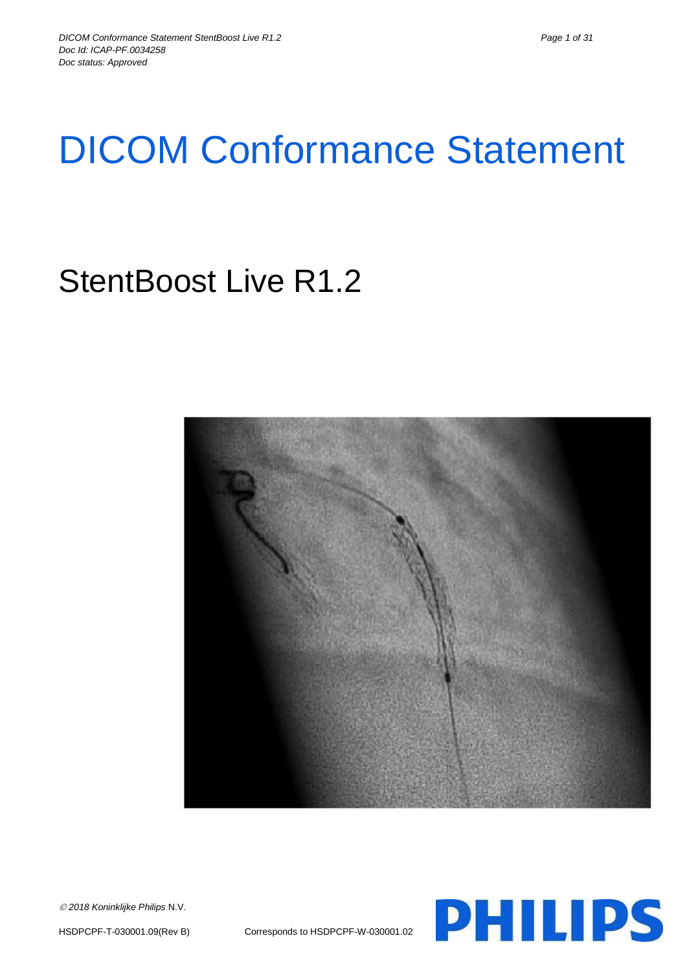# DICOM Conformance Statement

# StentBoost Live R1.2



**PHILIPS** 

*2018 Koninklijke Philips* N.V.

HSDPCPF-T-030001.09(Rev B) Corresponds to HSDPCPF-W-030001.02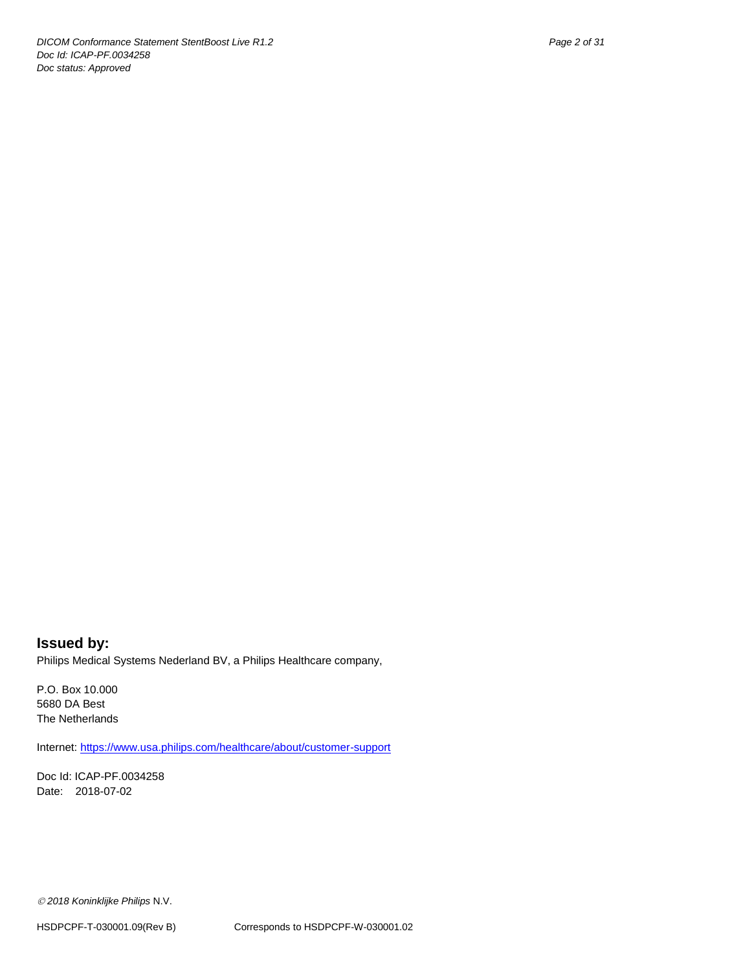**Issued by:** Philips Medical Systems Nederland BV, a Philips Healthcare company,

P.O. Box 10.000 5680 DA Best The Netherlands

Internet[: https://www.usa.philips.com/healthcare/about/customer-support](https://www.usa.philips.com/healthcare/about/customer-support)

Doc Id: ICAP-PF.0034258 Date: 2018-07-02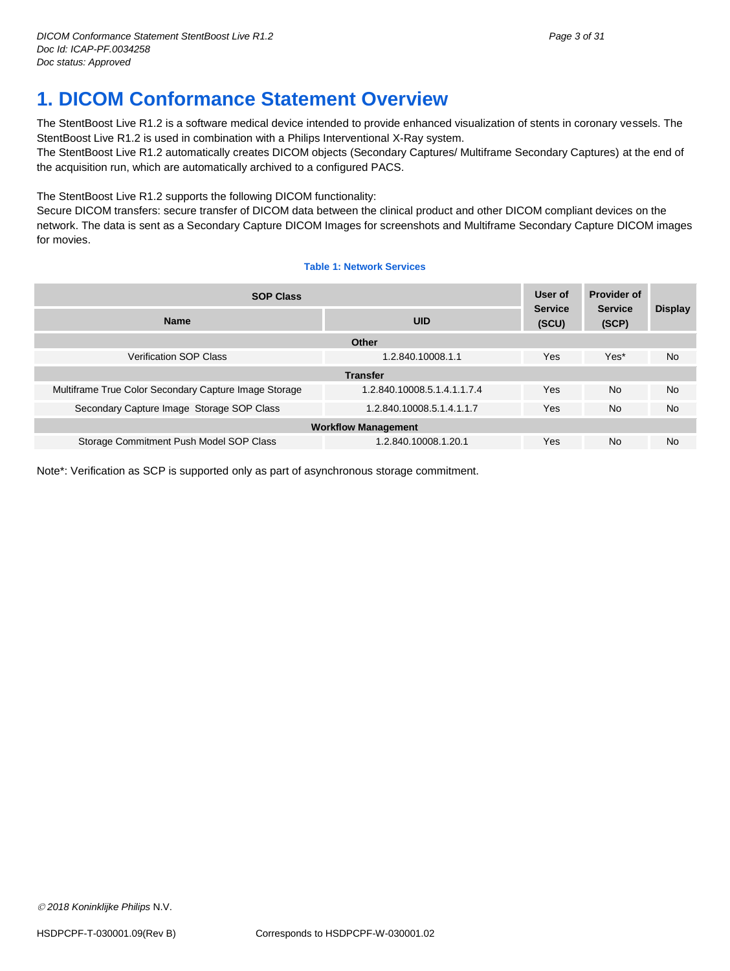# <span id="page-2-0"></span>**1. DICOM Conformance Statement Overview**

The StentBoost Live R1.2 is a software medical device intended to provide enhanced visualization of stents in coronary vessels. The StentBoost Live R1.2 is used in combination with a Philips Interventional X-Ray system.

The StentBoost Live R1.2 automatically creates DICOM objects (Secondary Captures/ Multiframe Secondary Captures) at the end of the acquisition run, which are automatically archived to a configured PACS.

The StentBoost Live R1.2 supports the following DICOM functionality:

Secure DICOM transfers: secure transfer of DICOM data between the clinical product and other DICOM compliant devices on the network. The data is sent as a Secondary Capture DICOM Images for screenshots and Multiframe Secondary Capture DICOM images for movies.

#### **Table 1: Network Services**

| <b>SOP Class</b>                                      |                             | User of<br><b>Service</b> | <b>Provider of</b><br><b>Service</b> | <b>Display</b> |
|-------------------------------------------------------|-----------------------------|---------------------------|--------------------------------------|----------------|
| <b>Name</b>                                           | <b>UID</b>                  | (SCU)                     | (SCP)                                |                |
|                                                       | Other                       |                           |                                      |                |
| <b>Verification SOP Class</b>                         | 1.2.840.10008.1.1           | Yes                       | Yes*                                 | <b>No</b>      |
| <b>Transfer</b>                                       |                             |                           |                                      |                |
| Multiframe True Color Secondary Capture Image Storage | 1.2.840.10008.5.1.4.1.1.7.4 | Yes                       | <b>No</b>                            | No.            |
| Secondary Capture Image Storage SOP Class             | 1.2.840.10008.5.1.4.1.1.7   | <b>Yes</b>                | <b>No</b>                            | <b>No</b>      |
| <b>Workflow Management</b>                            |                             |                           |                                      |                |
| Storage Commitment Push Model SOP Class               | 1.2.840.10008.1.20.1        | <b>Yes</b>                | <b>No</b>                            | <b>No</b>      |

Note\*: Verification as SCP is supported only as part of asynchronous storage commitment.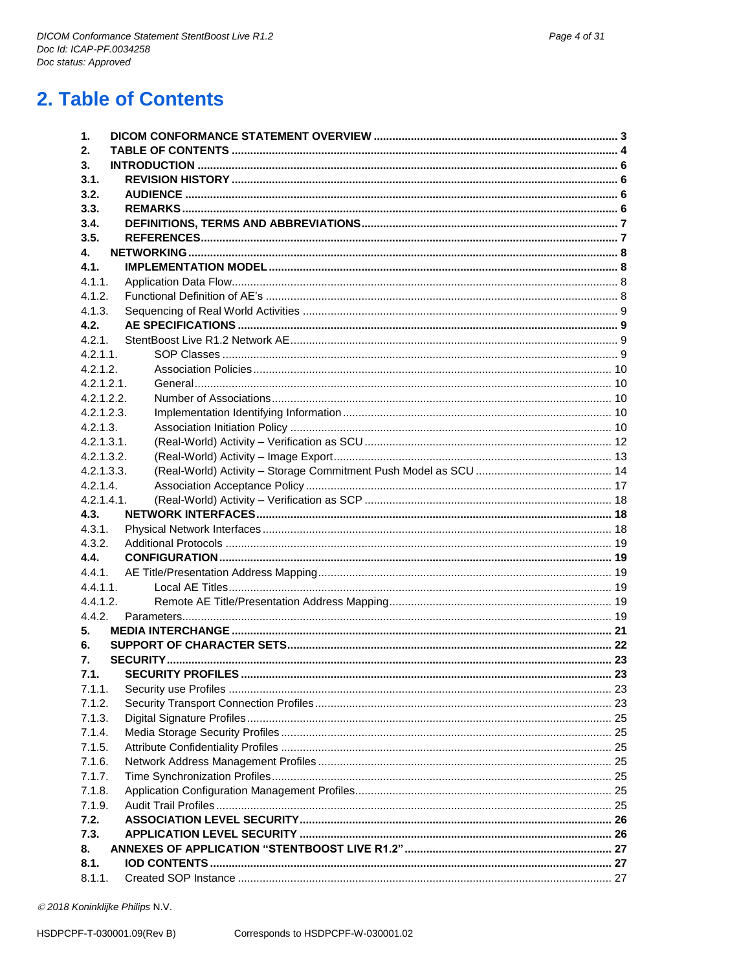<span id="page-3-0"></span>

| 2.          |  |
|-------------|--|
| 3.          |  |
| 3.1.        |  |
| 3.2.        |  |
| 3.3.        |  |
| 3.4.        |  |
| 3.5.        |  |
| 4.          |  |
| 4.1.        |  |
| 4.1.1.      |  |
| 4.1.2.      |  |
| 4.1.3.      |  |
| 4.2.        |  |
| 4.2.1.      |  |
| $4.2.1.1$ . |  |
| 4.2.1.2.    |  |
| 4.2.1.2.1.  |  |
| 4.2.1.2.2.  |  |
| 4.2.1.2.3.  |  |
| 4.2.1.3.    |  |
| 4.2.1.3.1.  |  |
| 4.2.1.3.2.  |  |
| 4.2.1.3.3.  |  |
| 4.2.1.4.    |  |
| 4.2.1.4.1.  |  |
| 4.3.        |  |
|             |  |
| 4.3.1.      |  |
| 4.3.2.      |  |
| 4.4.        |  |
| 4.4.1.      |  |
| $4.4.1.1$ . |  |
| 4.4.1.2.    |  |
| 4.4.2.      |  |
| 5.          |  |
| 6.          |  |
| 7.          |  |
| 7.1.        |  |
| 7.1.1.      |  |
| 7.1.2.      |  |
| 7.1.3.      |  |
| 7.1.4.      |  |
| 7.1.5.      |  |
| 7.1.6.      |  |
| 7.1.7.      |  |
| 7.1.8.      |  |
| 7.1.9.      |  |
| 7.2.        |  |
| 7.3.        |  |
| 8.          |  |
| 8.1.        |  |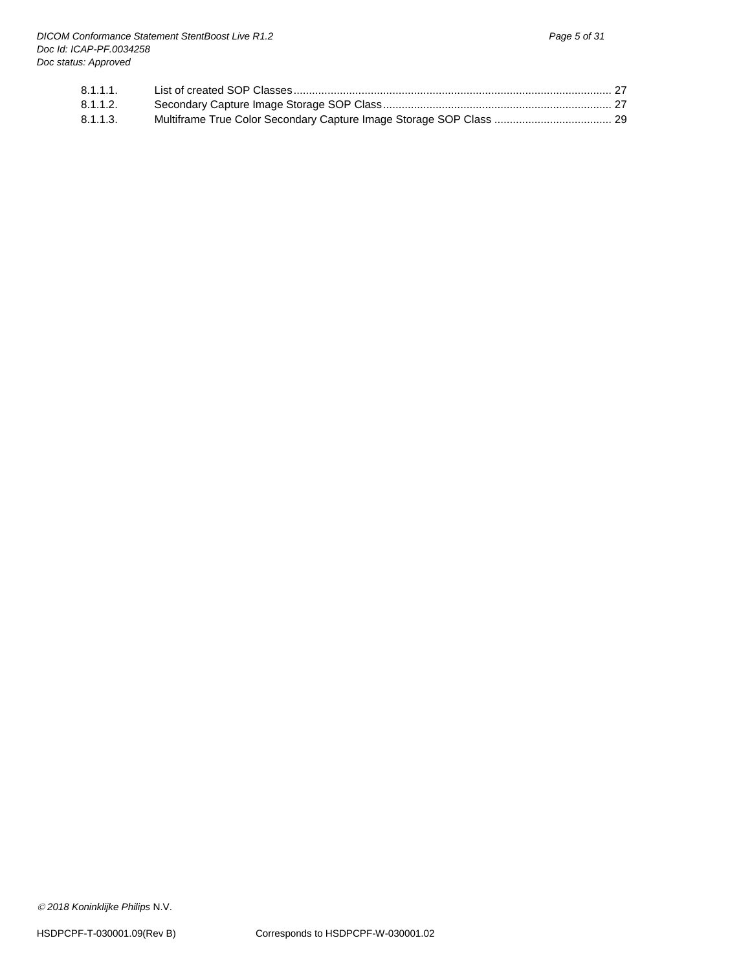| $8.1.1.1$ . |  |
|-------------|--|
| 8.1.1.2.    |  |
| 8.1.1.3.    |  |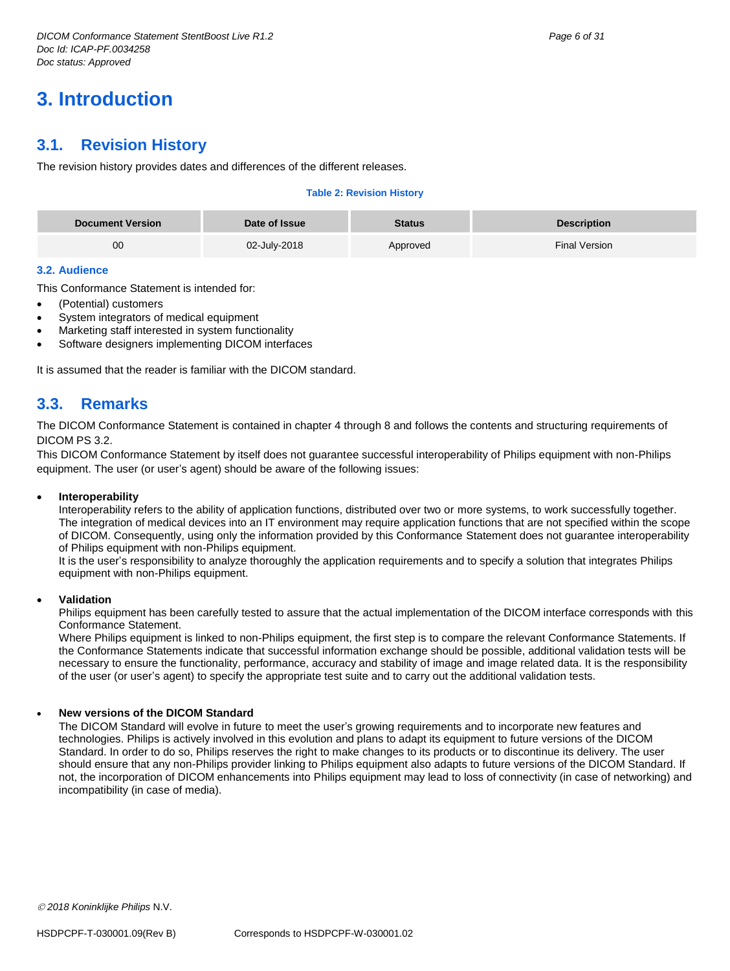# <span id="page-5-0"></span>**3. Introduction**

# <span id="page-5-1"></span>**3.1. Revision History**

The revision history provides dates and differences of the different releases.

#### **Table 2: Revision History**

| <b>Document Version</b> | Date of Issue | <b>Status</b> | <b>Description</b> |
|-------------------------|---------------|---------------|--------------------|
| 00                      | 02-July-2018  | Approved      | Final Version      |

#### <span id="page-5-2"></span>**3.2. Audience**

This Conformance Statement is intended for:

- (Potential) customers
- System integrators of medical equipment
- Marketing staff interested in system functionality
- Software designers implementing DICOM interfaces

It is assumed that the reader is familiar with the DICOM standard.

# <span id="page-5-3"></span>**3.3. Remarks**

The DICOM Conformance Statement is contained in chapter 4 through 8 and follows the contents and structuring requirements of DICOM PS 3.2.

This DICOM Conformance Statement by itself does not guarantee successful interoperability of Philips equipment with non-Philips equipment. The user (or user's agent) should be aware of the following issues:

#### **Interoperability**

Interoperability refers to the ability of application functions, distributed over two or more systems, to work successfully together. The integration of medical devices into an IT environment may require application functions that are not specified within the scope of DICOM. Consequently, using only the information provided by this Conformance Statement does not guarantee interoperability of Philips equipment with non-Philips equipment.

It is the user's responsibility to analyze thoroughly the application requirements and to specify a solution that integrates Philips equipment with non-Philips equipment.

#### **Validation**

Philips equipment has been carefully tested to assure that the actual implementation of the DICOM interface corresponds with this Conformance Statement.

Where Philips equipment is linked to non-Philips equipment, the first step is to compare the relevant Conformance Statements. If the Conformance Statements indicate that successful information exchange should be possible, additional validation tests will be necessary to ensure the functionality, performance, accuracy and stability of image and image related data. It is the responsibility of the user (or user's agent) to specify the appropriate test suite and to carry out the additional validation tests.

#### **New versions of the DICOM Standard**

The DICOM Standard will evolve in future to meet the user's growing requirements and to incorporate new features and technologies. Philips is actively involved in this evolution and plans to adapt its equipment to future versions of the DICOM Standard. In order to do so, Philips reserves the right to make changes to its products or to discontinue its delivery. The user should ensure that any non-Philips provider linking to Philips equipment also adapts to future versions of the DICOM Standard. If not, the incorporation of DICOM enhancements into Philips equipment may lead to loss of connectivity (in case of networking) and incompatibility (in case of media).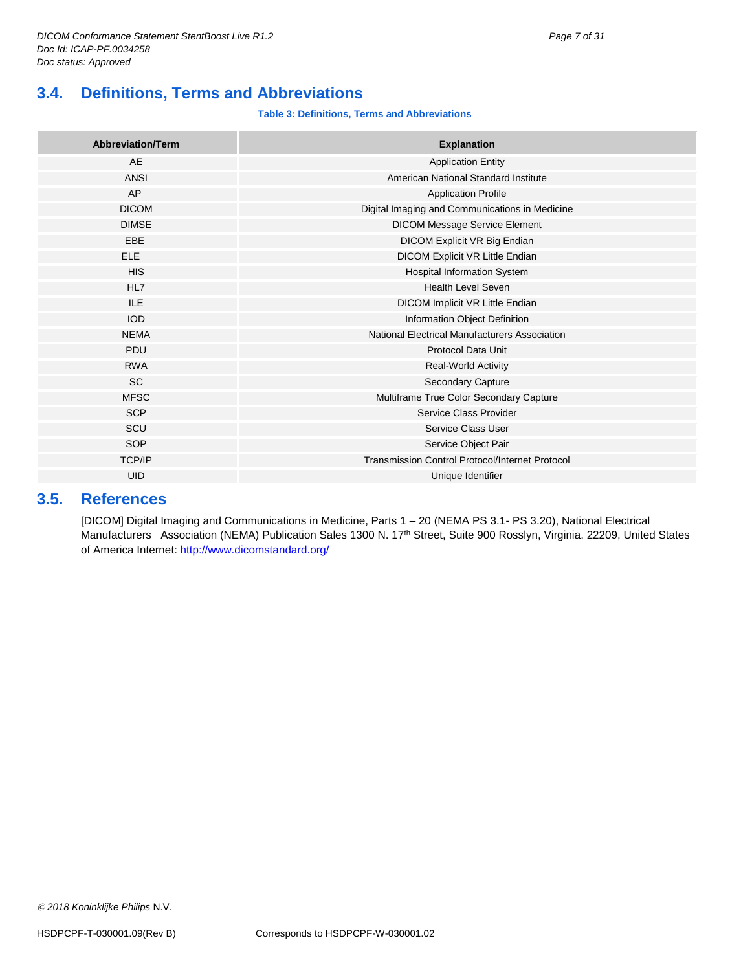# <span id="page-6-0"></span>**3.4. Definitions, Terms and Abbreviations**

#### **Table 3: Definitions, Terms and Abbreviations**

| <b>Abbreviation/Term</b> | <b>Explanation</b>                                     |
|--------------------------|--------------------------------------------------------|
| <b>AE</b>                | <b>Application Entity</b>                              |
| ANSI                     | American National Standard Institute                   |
| AP                       | <b>Application Profile</b>                             |
| <b>DICOM</b>             | Digital Imaging and Communications in Medicine         |
| <b>DIMSE</b>             | <b>DICOM Message Service Element</b>                   |
| EBE                      | DICOM Explicit VR Big Endian                           |
| <b>ELE</b>               | DICOM Explicit VR Little Endian                        |
| <b>HIS</b>               | Hospital Information System                            |
| HL7                      | <b>Health Level Seven</b>                              |
| ILE.                     | DICOM Implicit VR Little Endian                        |
| <b>IOD</b>               | Information Object Definition                          |
| <b>NEMA</b>              | National Electrical Manufacturers Association          |
| PDU                      | <b>Protocol Data Unit</b>                              |
| <b>RWA</b>               | Real-World Activity                                    |
| <b>SC</b>                | Secondary Capture                                      |
| <b>MFSC</b>              | Multiframe True Color Secondary Capture                |
| <b>SCP</b>               | Service Class Provider                                 |
| SCU                      | Service Class User                                     |
| SOP                      | Service Object Pair                                    |
| <b>TCP/IP</b>            | <b>Transmission Control Protocol/Internet Protocol</b> |
| <b>UID</b>               | Unique Identifier                                      |

# <span id="page-6-1"></span>**3.5. References**

[DICOM] Digital Imaging and Communications in Medicine, Parts 1 – 20 (NEMA PS 3.1- PS 3.20), National Electrical Manufacturers Association (NEMA) Publication Sales 1300 N. 17<sup>th</sup> Street, Suite 900 Rosslyn, Virginia. 22209, United States of America Internet: http://www.dicomstandard.org/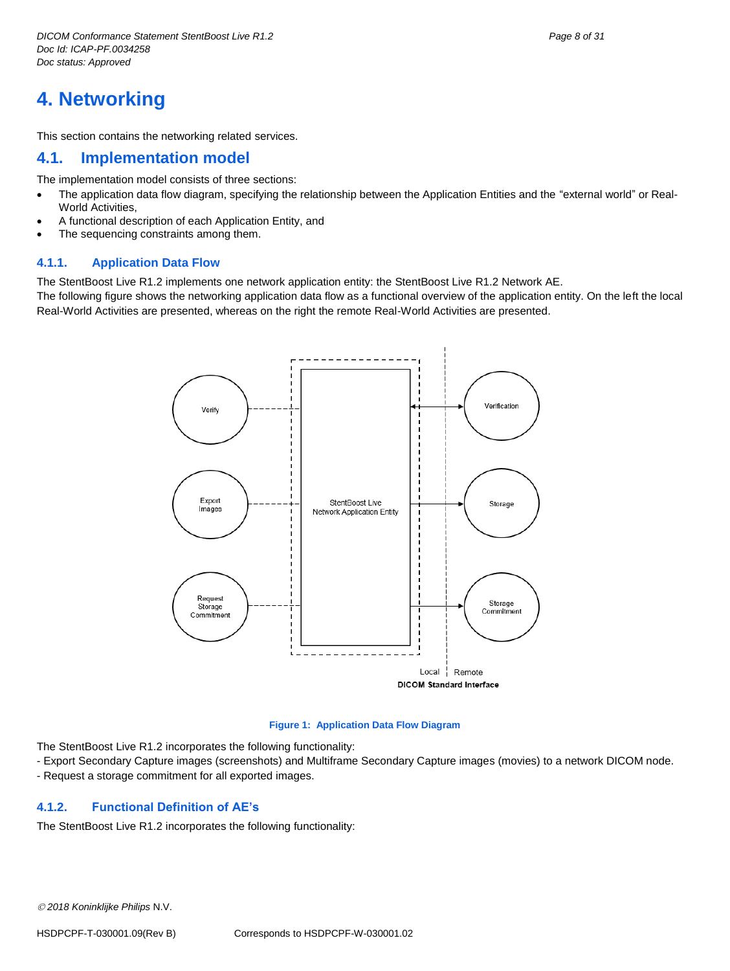# <span id="page-7-0"></span>**4. Networking**

This section contains the networking related services.

### <span id="page-7-1"></span>**4.1. Implementation model**

The implementation model consists of three sections:

- The application data flow diagram, specifying the relationship between the Application Entities and the "external world" or Real-World Activities,
- A functional description of each Application Entity, and
- The sequencing constraints among them.

#### <span id="page-7-2"></span>**4.1.1. Application Data Flow**

The StentBoost Live R1.2 implements one network application entity: the StentBoost Live R1.2 Network AE.

The following figure shows the networking application data flow as a functional overview of the application entity. On the left the local Real-World Activities are presented, whereas on the right the remote Real-World Activities are presented.



#### **Figure 1: Application Data Flow Diagram**

The StentBoost Live R1.2 incorporates the following functionality:

- Export Secondary Capture images (screenshots) and Multiframe Secondary Capture images (movies) to a network DICOM node.
- Request a storage commitment for all exported images.

## <span id="page-7-3"></span>**4.1.2. Functional Definition of AE's**

The StentBoost Live R1.2 incorporates the following functionality: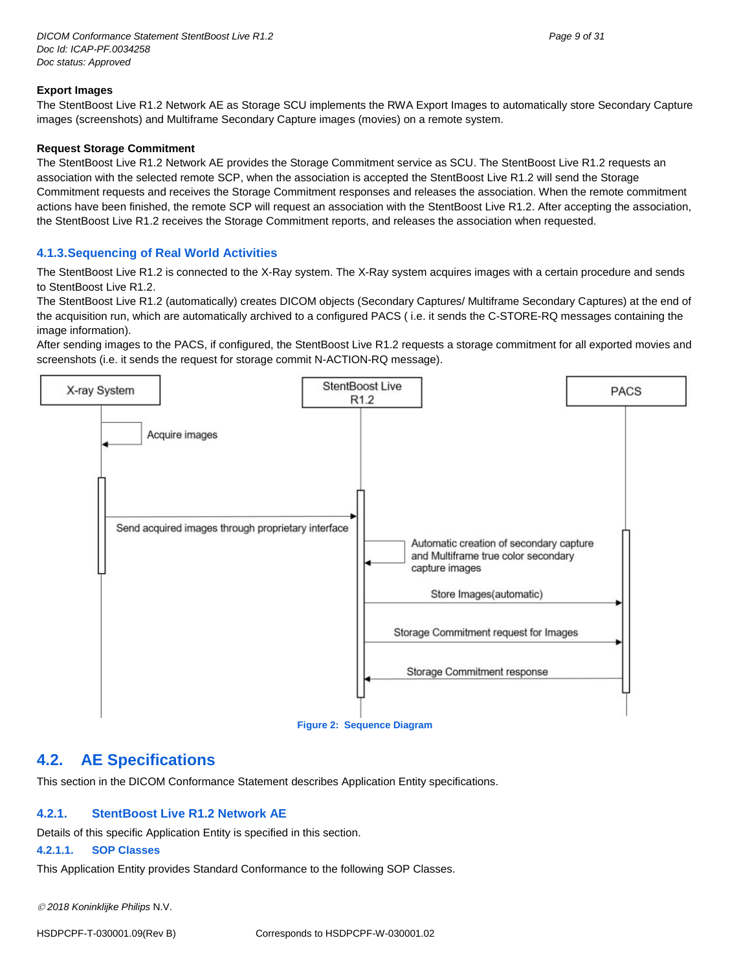#### **Export Images**

The StentBoost Live R1.2 Network AE as Storage SCU implements the RWA Export Images to automatically store Secondary Capture images (screenshots) and Multiframe Secondary Capture images (movies) on a remote system.

#### **Request Storage Commitment**

The StentBoost Live R1.2 Network AE provides the Storage Commitment service as SCU. The StentBoost Live R1.2 requests an association with the selected remote SCP, when the association is accepted the StentBoost Live R1.2 will send the Storage Commitment requests and receives the Storage Commitment responses and releases the association. When the remote commitment actions have been finished, the remote SCP will request an association with the StentBoost Live R1.2. After accepting the association, the StentBoost Live R1.2 receives the Storage Commitment reports, and releases the association when requested.

#### <span id="page-8-0"></span>**4.1.3.Sequencing of Real World Activities**

The StentBoost Live R1.2 is connected to the X-Ray system. The X-Ray system acquires images with a certain procedure and sends to StentBoost Live R1.2.

The StentBoost Live R1.2 (automatically) creates DICOM objects (Secondary Captures/ Multiframe Secondary Captures) at the end of the acquisition run, which are automatically archived to a configured PACS ( i.e. it sends the C-STORE-RQ messages containing the image information).

After sending images to the PACS, if configured, the StentBoost Live R1.2 requests a storage commitment for all exported movies and screenshots (i.e. it sends the request for storage commit N-ACTION-RQ message).



**Figure 2: Sequence Diagram**

## <span id="page-8-1"></span>**4.2. AE Specifications**

This section in the DICOM Conformance Statement describes Application Entity specifications.

#### <span id="page-8-2"></span>**4.2.1. StentBoost Live R1.2 Network AE**

Details of this specific Application Entity is specified in this section.

#### <span id="page-8-3"></span>**4.2.1.1. SOP Classes**

This Application Entity provides Standard Conformance to the following SOP Classes.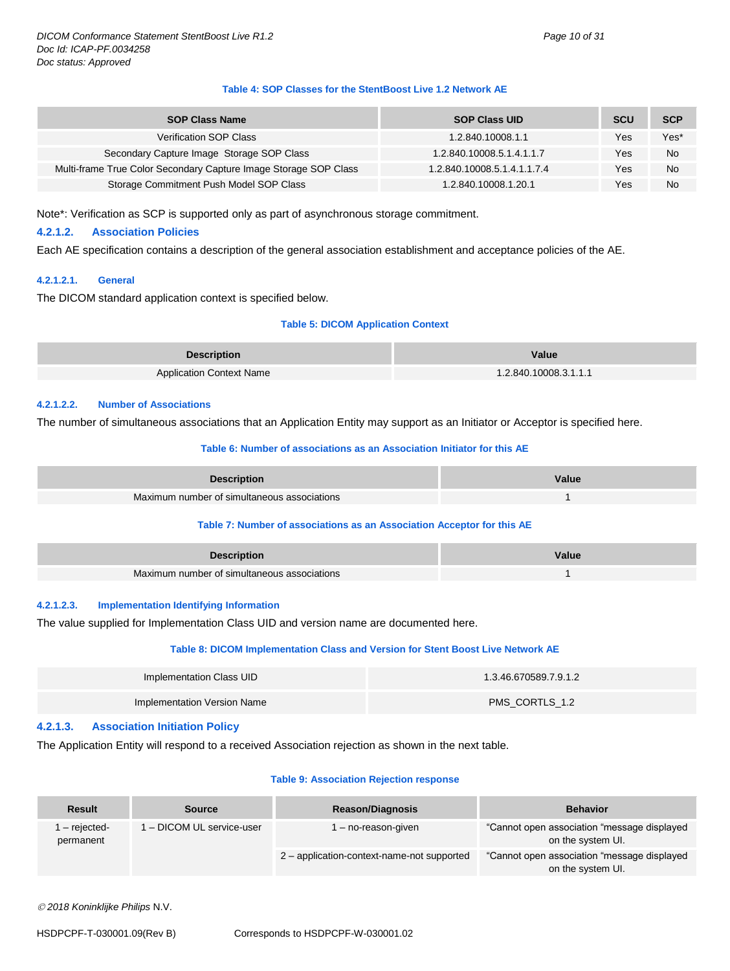#### **Table 4: SOP Classes for the StentBoost Live 1.2 Network AE**

| <b>SOP Class Name</b>                                            | <b>SOP Class UID</b>        | <b>SCU</b> | <b>SCP</b> |
|------------------------------------------------------------------|-----------------------------|------------|------------|
| <b>Verification SOP Class</b>                                    | 1.2.840.10008.1.1           | Yes        | Yes*       |
| Secondary Capture Image Storage SOP Class                        | 1.2.840.10008.5.1.4.1.1.7   | Yes        | <b>No</b>  |
| Multi-frame True Color Secondary Capture Image Storage SOP Class | 1.2.840.10008.5.1.4.1.1.7.4 | Yes        | No         |
| Storage Commitment Push Model SOP Class                          | 1.2.840.10008.1.20.1        | Yes        | <b>No</b>  |

Note\*: Verification as SCP is supported only as part of asynchronous storage commitment.

#### <span id="page-9-0"></span>**4.2.1.2. Association Policies**

Each AE specification contains a description of the general association establishment and acceptance policies of the AE.

#### <span id="page-9-1"></span>**4.2.1.2.1. General**

The DICOM standard application context is specified below.

#### **Table 5: DICOM Application Context**

| <b>Description</b>              | Value                 |
|---------------------------------|-----------------------|
| <b>Application Context Name</b> | 1.2.840.10008.3.1.1.1 |

#### <span id="page-9-2"></span>**4.2.1.2.2. Number of Associations**

The number of simultaneous associations that an Application Entity may support as an Initiator or Acceptor is specified here.

#### **Table 6: Number of associations as an Association Initiator for this AE**

| <b>Description</b>                          | Value |
|---------------------------------------------|-------|
| Maximum number of simultaneous associations |       |

#### **Table 7: Number of associations as an Association Acceptor for this AE**

| <b>Description</b>                          | Value |
|---------------------------------------------|-------|
| Maximum number of simultaneous associations |       |

#### <span id="page-9-3"></span>**4.2.1.2.3. Implementation Identifying Information**

The value supplied for Implementation Class UID and version name are documented here.

#### **Table 8: DICOM Implementation Class and Version for Stent Boost Live Network AE**

| Implementation Class UID    | 1.3.46.670589.7.9.1.2 |
|-----------------------------|-----------------------|
| Implementation Version Name | PMS_CORTLS_1.2        |

#### <span id="page-9-4"></span>**4.2.1.3. Association Initiation Policy**

The Application Entity will respond to a received Association rejection as shown in the next table.

#### **Table 9: Association Rejection response**

| <b>Result</b>                                         | <b>Source</b>                              | <b>Reason/Diagnosis</b>                                           | <b>Behavior</b> |
|-------------------------------------------------------|--------------------------------------------|-------------------------------------------------------------------|-----------------|
| 1 - DICOM UL service-user<br>- rejected-<br>permanent | l – no-reason-given                        | "Cannot open association "message displayed"<br>on the system UI. |                 |
|                                                       | 2 - application-context-name-not supported | "Cannot open association "message displayed"<br>on the system UI. |                 |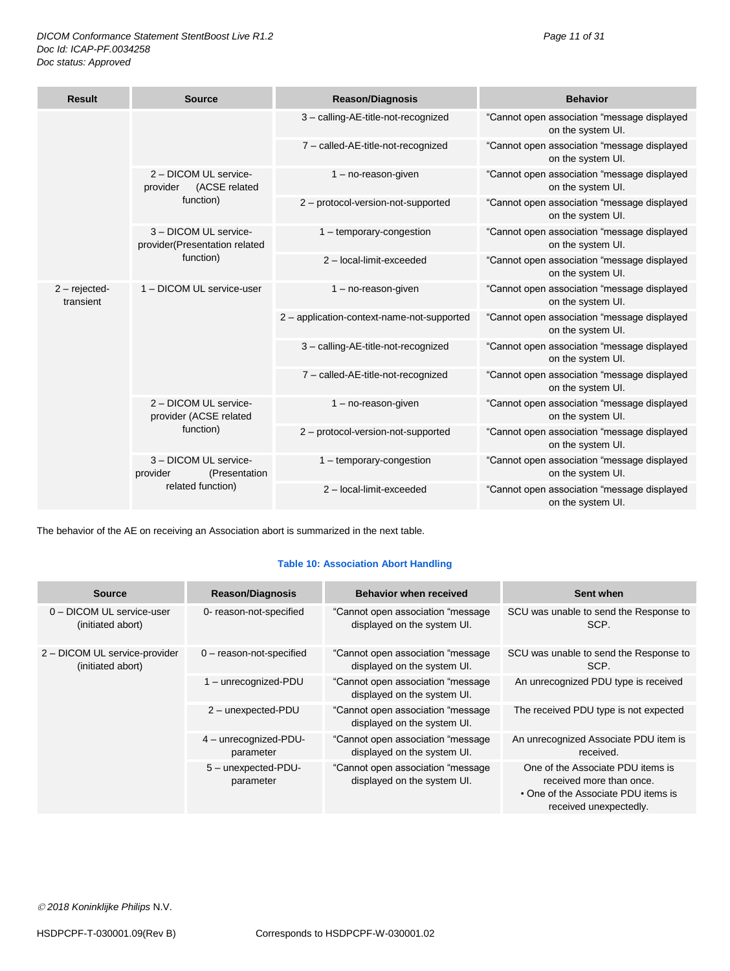| <b>Result</b>                | <b>Source</b>                                                           | <b>Reason/Diagnosis</b>                    | <b>Behavior</b>                                                  |
|------------------------------|-------------------------------------------------------------------------|--------------------------------------------|------------------------------------------------------------------|
|                              |                                                                         | 3 - calling-AE-title-not-recognized        | "Cannot open association "message displayed<br>on the system UI. |
|                              |                                                                         | 7 - called-AE-title-not-recognized         | "Cannot open association "message displayed<br>on the system UI. |
|                              | 2 - DICOM UL service-<br>(ACSE related<br>provider                      | $1 - no$ -reason-given                     | "Cannot open association "message displayed<br>on the system UI. |
|                              | function)                                                               | 2 - protocol-version-not-supported         | "Cannot open association "message displayed<br>on the system UI. |
|                              | 3 - DICOM UL service-<br>provider(Presentation related                  | 1 - temporary-congestion                   | "Cannot open association "message displayed<br>on the system UI. |
|                              | function)                                                               | 2 - local-limit-exceeded                   | "Cannot open association "message displayed<br>on the system UI. |
| $2$ – rejected-<br>transient | 1 - DICOM UL service-user                                               | $1 - no$ -reason-given                     | "Cannot open association "message displayed<br>on the system UI. |
|                              |                                                                         | 2 - application-context-name-not-supported | "Cannot open association "message displayed<br>on the system UI. |
|                              |                                                                         | 3 - calling-AE-title-not-recognized        | "Cannot open association "message displayed<br>on the system UI. |
|                              |                                                                         | 7 - called-AE-title-not-recognized         | "Cannot open association "message displayed<br>on the system UI. |
|                              | 2 - DICOM UL service-<br>provider (ACSE related<br>function)            | $1 - no$ -reason-given                     | "Cannot open association "message displayed<br>on the system UI. |
|                              |                                                                         | 2 - protocol-version-not-supported         | "Cannot open association "message displayed<br>on the system UI. |
|                              | 3 - DICOM UL service-<br>provider<br>(Presentation<br>related function) | $1 -$ temporary-congestion                 | "Cannot open association "message displayed<br>on the system UI. |
|                              |                                                                         | 2 - local-limit-exceeded                   | "Cannot open association "message displayed<br>on the system UI. |

The behavior of the AE on receiving an Association abort is summarized in the next table.

#### **Table 10: Association Abort Handling**

| <b>Source</b>                                      | <b>Reason/Diagnosis</b>            | <b>Behavior when received</b>                                     | Sent when                                                                                                                      |
|----------------------------------------------------|------------------------------------|-------------------------------------------------------------------|--------------------------------------------------------------------------------------------------------------------------------|
| 0 - DICOM UL service-user<br>(initiated abort)     | 0- reason-not-specified            | "Cannot open association "message"<br>displayed on the system UI. | SCU was unable to send the Response to<br>SCP.                                                                                 |
| 2 - DICOM UL service-provider<br>(initiated abort) | $0$ – reason-not-specified         | "Cannot open association "message"<br>displayed on the system UI. | SCU was unable to send the Response to<br>SCP.                                                                                 |
|                                                    | 1 - unrecognized-PDU               | "Cannot open association "message<br>displayed on the system UI.  | An unrecognized PDU type is received                                                                                           |
|                                                    | 2 - unexpected-PDU                 | "Cannot open association "message"<br>displayed on the system UI. | The received PDU type is not expected                                                                                          |
|                                                    | 4 - unrecognized-PDU-<br>parameter | "Cannot open association "message"<br>displayed on the system UI. | An unrecognized Associate PDU item is<br>received.                                                                             |
|                                                    | 5 - unexpected-PDU-<br>parameter   | "Cannot open association "message<br>displayed on the system UI.  | One of the Associate PDU items is<br>received more than once.<br>• One of the Associate PDU items is<br>received unexpectedly. |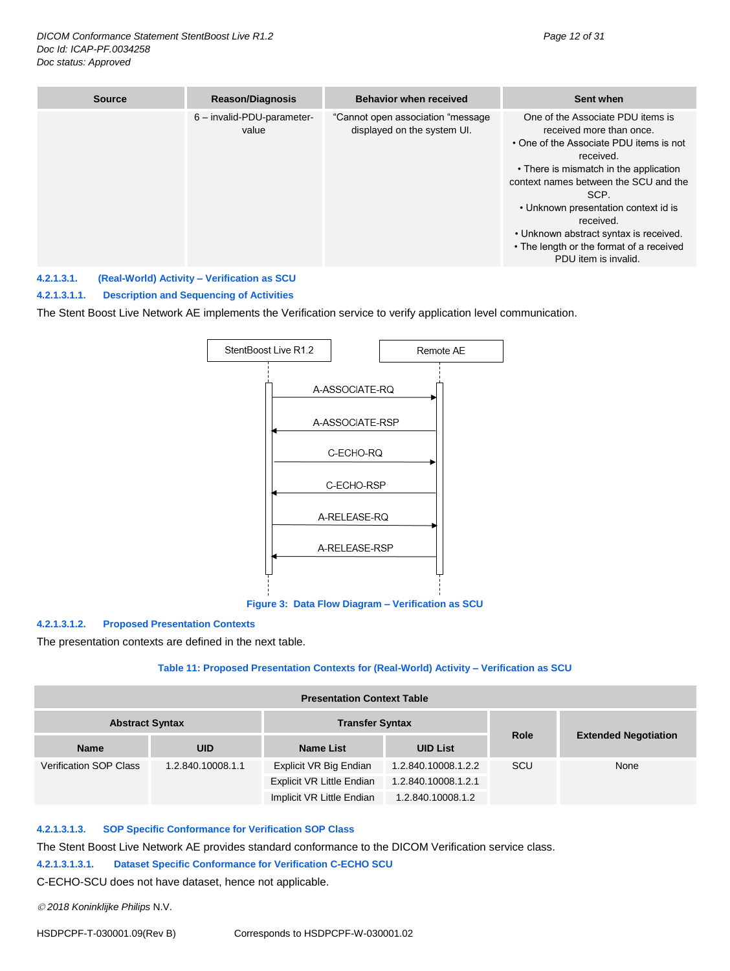| <b>Source</b> | <b>Reason/Diagnosis</b>             | <b>Behavior when received</b>                                     | Sent when                                                                                                                                                                                                                                                                                                                                                                           |
|---------------|-------------------------------------|-------------------------------------------------------------------|-------------------------------------------------------------------------------------------------------------------------------------------------------------------------------------------------------------------------------------------------------------------------------------------------------------------------------------------------------------------------------------|
|               | 6 - invalid-PDU-parameter-<br>value | "Cannot open association "message"<br>displayed on the system UI. | One of the Associate PDU items is<br>received more than once.<br>• One of the Associate PDU items is not<br>received.<br>• There is mismatch in the application<br>context names between the SCU and the<br>SCP.<br>• Unknown presentation context id is<br>received.<br>• Unknown abstract syntax is received.<br>• The length or the format of a received<br>PDU item is invalid. |

#### <span id="page-11-0"></span>**4.2.1.3.1. (Real-World) Activity – Verification as SCU**

#### **4.2.1.3.1.1. Description and Sequencing of Activities**

The Stent Boost Live Network AE implements the Verification service to verify application level communication.



**Figure 3: Data Flow Diagram – Verification as SCU**

#### **4.2.1.3.1.2. Proposed Presentation Contexts**

The presentation contexts are defined in the next table.

#### **Table 11: Proposed Presentation Contexts for (Real-World) Activity – Verification as SCU**

| <b>Presentation Context Table</b>                |                   |                           |                     |      |                             |  |
|--------------------------------------------------|-------------------|---------------------------|---------------------|------|-----------------------------|--|
| <b>Transfer Syntax</b><br><b>Abstract Syntax</b> |                   |                           |                     |      |                             |  |
| <b>Name</b>                                      | <b>UID</b>        | <b>Name List</b>          | <b>UID List</b>     | Role | <b>Extended Negotiation</b> |  |
| <b>Verification SOP Class</b>                    | 1.2.840.10008.1.1 | Explicit VR Big Endian    | 1.2.840.10008.1.2.2 | SCU  | None                        |  |
|                                                  |                   | Explicit VR Little Endian | 1.2.840.10008.1.2.1 |      |                             |  |
|                                                  |                   | Implicit VR Little Endian | 1.2.840.10008.1.2   |      |                             |  |

#### **4.2.1.3.1.3. SOP Specific Conformance for Verification SOP Class**

The Stent Boost Live Network AE provides standard conformance to the DICOM Verification service class.

#### **4.2.1.3.1.3.1. Dataset Specific Conformance for Verification C-ECHO SCU**

C-ECHO-SCU does not have dataset, hence not applicable.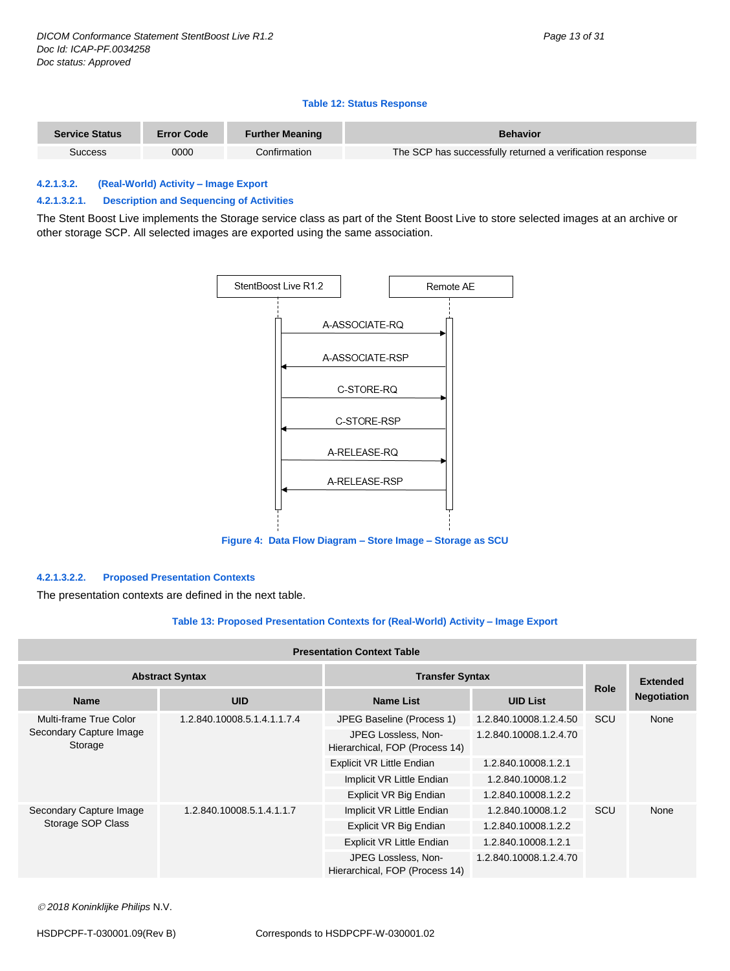#### **Table 12: Status Response**

| <b>Service Status</b> | <b>Error Code</b> | <b>Further Meaning</b> | <b>Behavior</b>                                           |
|-----------------------|-------------------|------------------------|-----------------------------------------------------------|
| Success               | 0000              | Confirmation           | The SCP has successfully returned a verification response |

#### <span id="page-12-0"></span>**4.2.1.3.2. (Real-World) Activity – Image Export**

#### **4.2.1.3.2.1. Description and Sequencing of Activities**

The Stent Boost Live implements the Storage service class as part of the Stent Boost Live to store selected images at an archive or other storage SCP. All selected images are exported using the same association.



**Figure 4: Data Flow Diagram – Store Image – Storage as SCU**

#### **4.2.1.3.2.2. Proposed Presentation Contexts**

The presentation contexts are defined in the next table.

#### **Table 13: Proposed Presentation Contexts for (Real-World) Activity – Image Export**

#### **Presentation Context Table**

| <b>Abstract Syntax</b>             |                             | <b>Transfer Syntax</b>                                |                        |             | <b>Extended</b>    |
|------------------------------------|-----------------------------|-------------------------------------------------------|------------------------|-------------|--------------------|
| <b>Name</b>                        | <b>UID</b>                  | <b>Name List</b>                                      | <b>UID List</b>        | <b>Role</b> | <b>Negotiation</b> |
| Multi-frame True Color             | 1.2.840.10008.5.1.4.1.1.7.4 | JPEG Baseline (Process 1)                             | 1.2.840.10008.1.2.4.50 | SCU         | None               |
| Secondary Capture Image<br>Storage |                             | JPEG Lossless, Non-<br>Hierarchical, FOP (Process 14) | 1.2.840.10008.1.2.4.70 |             |                    |
|                                    |                             | Explicit VR Little Endian                             | 1.2.840.10008.1.2.1    |             |                    |
|                                    |                             | Implicit VR Little Endian                             | 1.2.840.10008.1.2      |             |                    |
|                                    |                             | Explicit VR Big Endian                                | 1.2.840.10008.1.2.2    |             |                    |
| Secondary Capture Image            | 1.2.840.10008.5.1.4.1.1.7   | Implicit VR Little Endian                             | 1.2.840.10008.1.2      | SCU         | None               |
| Storage SOP Class                  |                             | Explicit VR Big Endian                                | 1.2.840.10008.1.2.2    |             |                    |
|                                    |                             | Explicit VR Little Endian                             | 1.2.840.10008.1.2.1    |             |                    |
|                                    |                             | JPEG Lossless, Non-<br>Hierarchical, FOP (Process 14) | 1.2.840.10008.1.2.4.70 |             |                    |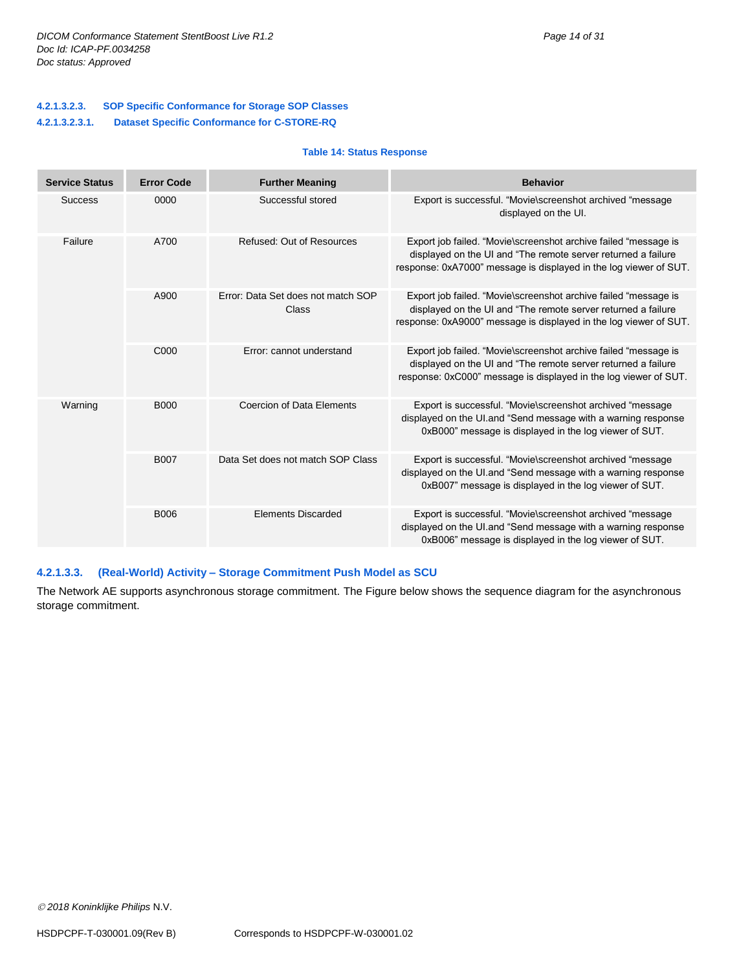| <b>Service Status</b> | <b>Error Code</b> | <b>Further Meaning</b>                      | <b>Behavior</b>                                                                                                                                                                                       |
|-----------------------|-------------------|---------------------------------------------|-------------------------------------------------------------------------------------------------------------------------------------------------------------------------------------------------------|
| <b>Success</b>        | 0000              | Successful stored                           | Export is successful. "Movie\screenshot archived "message<br>displayed on the UI.                                                                                                                     |
| Failure               | A700              | Refused: Out of Resources                   | Export job failed. "Movie\screenshot archive failed "message is<br>displayed on the UI and "The remote server returned a failure<br>response: 0xA7000" message is displayed in the log viewer of SUT. |
|                       | A900              | Error: Data Set does not match SOP<br>Class | Export job failed. "Movie\screenshot archive failed "message is<br>displayed on the UI and "The remote server returned a failure<br>response: 0xA9000" message is displayed in the log viewer of SUT. |
|                       | C000              | Error: cannot understand                    | Export job failed. "Movie\screenshot archive failed "message is<br>displayed on the UI and "The remote server returned a failure"<br>response: 0xC000" message is displayed in the log viewer of SUT. |
| Warning               | <b>B000</b>       | Coercion of Data Elements                   | Export is successful. "Movie\screenshot archived "message<br>displayed on the UI.and "Send message with a warning response<br>0xB000" message is displayed in the log viewer of SUT.                  |
|                       | <b>B007</b>       | Data Set does not match SOP Class           | Export is successful. "Movie\screenshot archived "message<br>displayed on the UI.and "Send message with a warning response<br>0xB007" message is displayed in the log viewer of SUT.                  |
|                       | <b>B006</b>       | <b>Elements Discarded</b>                   | Export is successful. "Movie\screenshot archived "message<br>displayed on the UI.and "Send message with a warning response<br>0xB006" message is displayed in the log viewer of SUT.                  |

#### <span id="page-13-0"></span>**4.2.1.3.3. (Real-World) Activity – Storage Commitment Push Model as SCU**

The Network AE supports asynchronous storage commitment. The Figure below shows the sequence diagram for the asynchronous storage commitment.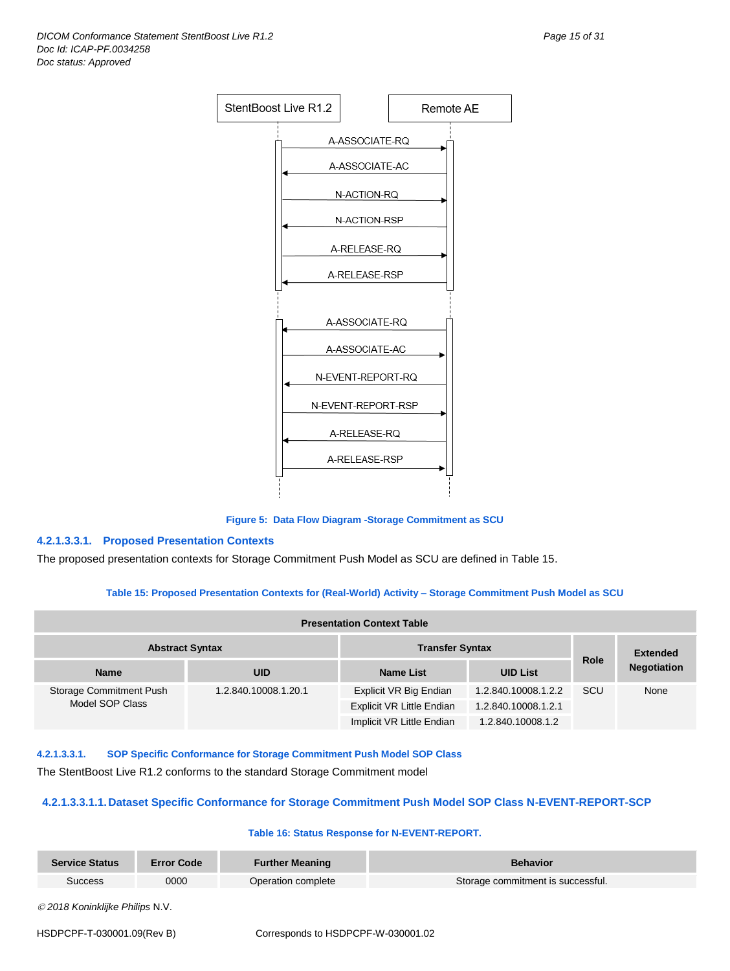

**Figure 5: Data Flow Diagram -Storage Commitment as SCU**

#### **4.2.1.3.3.1. Proposed Presentation Contexts**

The proposed presentation contexts for Storage Commitment Push Model as SCU are defined in Table 15.

#### **Table 15: Proposed Presentation Contexts for (Real-World) Activity – Storage Commitment Push Model as SCU**

| <b>Presentation Context Table</b>                |                      |                                  |                     |             |                    |
|--------------------------------------------------|----------------------|----------------------------------|---------------------|-------------|--------------------|
| <b>Abstract Syntax</b><br><b>Transfer Syntax</b> |                      |                                  |                     |             | <b>Extended</b>    |
| <b>Name</b>                                      | <b>UID</b>           | <b>Name List</b>                 | <b>UID List</b>     | <b>Role</b> | <b>Negotiation</b> |
| Storage Commitment Push                          | 1.2.840.10008.1.20.1 | Explicit VR Big Endian           | 1.2.840.10008.1.2.2 | <b>SCU</b>  | None               |
| Model SOP Class                                  |                      | <b>Explicit VR Little Endian</b> | 1.2.840.10008.1.2.1 |             |                    |
|                                                  |                      | Implicit VR Little Endian        | 1.2.840.10008.1.2   |             |                    |

**4.2.1.3.3.1. SOP Specific Conformance for Storage Commitment Push Model SOP Class**

The StentBoost Live R1.2 conforms to the standard Storage Commitment model

#### **4.2.1.3.3.1.1.Dataset Specific Conformance for Storage Commitment Push Model SOP Class N-EVENT-REPORT-SCP**

#### **Table 16: Status Response for N-EVENT-REPORT.**

| Service Status | <b>Error Code</b> | <b>Further Meaning</b> | <b>Behavior</b>                   |
|----------------|-------------------|------------------------|-----------------------------------|
| Success        | 0000              | Operation complete     | Storage commitment is successful. |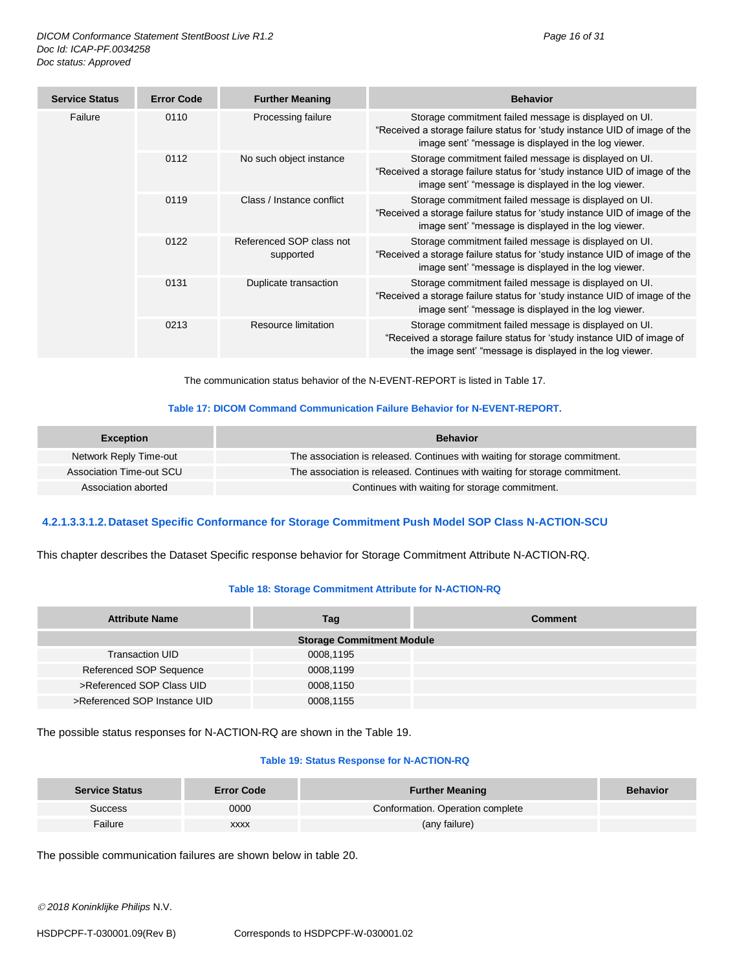| <b>Service Status</b> | <b>Error Code</b> | <b>Further Meaning</b>                | <b>Behavior</b>                                                                                                                                                                             |
|-----------------------|-------------------|---------------------------------------|---------------------------------------------------------------------------------------------------------------------------------------------------------------------------------------------|
| Failure               | 0110              | Processing failure                    | Storage commitment failed message is displayed on UI.<br>"Received a storage failure status for 'study instance UID of image of the<br>image sent' "message is displayed in the log viewer. |
|                       | 0112              | No such object instance               | Storage commitment failed message is displayed on UI.<br>"Received a storage failure status for 'study instance UID of image of the<br>image sent' "message is displayed in the log viewer. |
|                       | 0119              | Class / Instance conflict             | Storage commitment failed message is displayed on UI.<br>"Received a storage failure status for 'study instance UID of image of the<br>image sent' "message is displayed in the log viewer. |
|                       | 0122              | Referenced SOP class not<br>supported | Storage commitment failed message is displayed on UI.<br>"Received a storage failure status for 'study instance UID of image of the<br>image sent' "message is displayed in the log viewer. |
|                       | 0131              | Duplicate transaction                 | Storage commitment failed message is displayed on UI.<br>"Received a storage failure status for 'study instance UID of image of the<br>image sent' "message is displayed in the log viewer. |
|                       | 0213              | Resource limitation                   | Storage commitment failed message is displayed on UI.<br>"Received a storage failure status for 'study instance UID of image of<br>the image sent' "message is displayed in the log viewer. |

The communication status behavior of the N-EVENT-REPORT is listed in Table 17.

#### **Table 17: DICOM Command Communication Failure Behavior for N-EVENT-REPORT.**

| <b>Exception</b>         | <b>Behavior</b>                                                             |
|--------------------------|-----------------------------------------------------------------------------|
| Network Reply Time-out   | The association is released. Continues with waiting for storage commitment. |
| Association Time-out SCU | The association is released. Continues with waiting for storage commitment. |
| Association aborted      | Continues with waiting for storage commitment.                              |

#### **4.2.1.3.3.1.2.Dataset Specific Conformance for Storage Commitment Push Model SOP Class N-ACTION-SCU**

This chapter describes the Dataset Specific response behavior for Storage Commitment Attribute N-ACTION-RQ.

#### **Table 18: Storage Commitment Attribute for N-ACTION-RQ**

| <b>Attribute Name</b>        | Tag                              | <b>Comment</b> |
|------------------------------|----------------------------------|----------------|
|                              | <b>Storage Commitment Module</b> |                |
| <b>Transaction UID</b>       | 0008,1195                        |                |
| Referenced SOP Sequence      | 0008,1199                        |                |
| >Referenced SOP Class UID    | 0008,1150                        |                |
| >Referenced SOP Instance UID | 0008,1155                        |                |

The possible status responses for N-ACTION-RQ are shown in the Table 19.

#### **Table 19: Status Response for N-ACTION-RQ**

| <b>Service Status</b> | <b>Error Code</b> | <b>Further Meaning</b>           | <b>Behavior</b> |
|-----------------------|-------------------|----------------------------------|-----------------|
| Success               | 0000              | Conformation. Operation complete |                 |
| Failure               | <b>XXXX</b>       | (any failure)                    |                 |

The possible communication failures are shown below in table 20.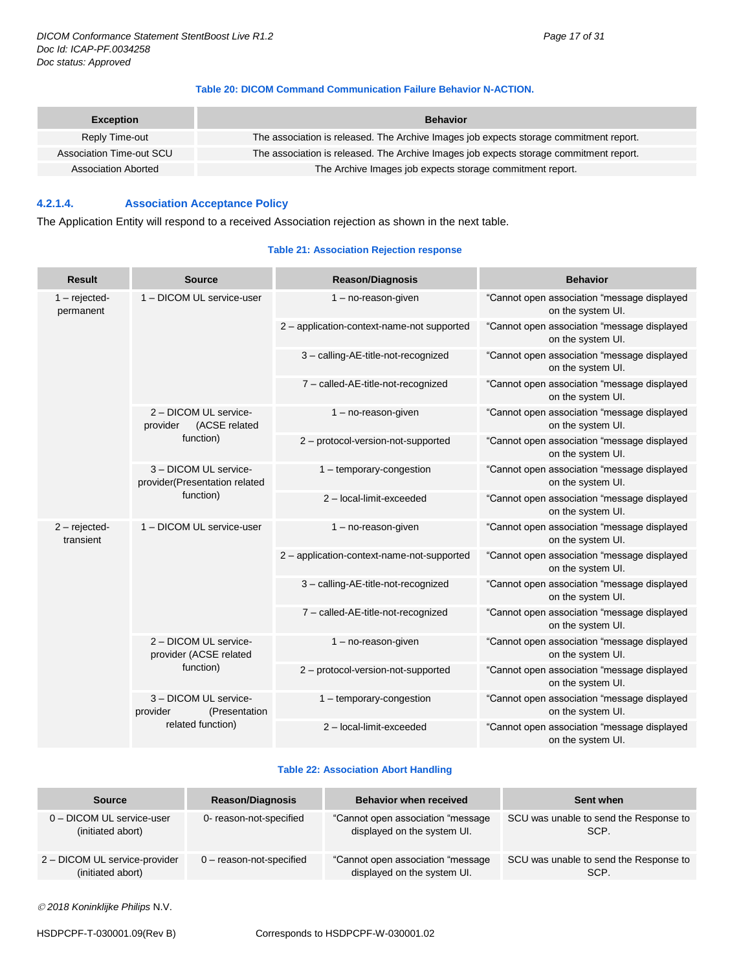#### **Table 20: DICOM Command Communication Failure Behavior N-ACTION.**

| <b>Exception</b>         | <b>Behavior</b>                                                                        |
|--------------------------|----------------------------------------------------------------------------------------|
| Reply Time-out           | The association is released. The Archive Images job expects storage commitment report. |
| Association Time-out SCU | The association is released. The Archive Images job expects storage commitment report. |
| Association Aborted      | The Archive Images job expects storage commitment report.                              |

#### <span id="page-16-0"></span>**4.2.1.4. Association Acceptance Policy**

The Application Entity will respond to a received Association rejection as shown in the next table.

#### **Table 21: Association Rejection response**

| Result                       | <b>Source</b>                                                            | <b>Reason/Diagnosis</b>                    | <b>Behavior</b>                                                  |
|------------------------------|--------------------------------------------------------------------------|--------------------------------------------|------------------------------------------------------------------|
| $1 -$ rejected-<br>permanent | 1 - DICOM UL service-user                                                | $1 - no$ -reason-given                     | "Cannot open association "message displayed<br>on the system UI. |
|                              |                                                                          | 2 - application-context-name-not supported | "Cannot open association "message displayed<br>on the system UI. |
|                              |                                                                          | 3 - calling-AE-title-not-recognized        | "Cannot open association "message displayed<br>on the system UI. |
|                              |                                                                          | 7 - called-AE-title-not-recognized         | "Cannot open association "message displayed<br>on the system UI. |
|                              | 2 - DICOM UL service-<br>(ACSE related<br>provider                       | $1 - no$ -reason-given                     | "Cannot open association "message displayed<br>on the system UI. |
|                              | function)                                                                | 2 - protocol-version-not-supported         | "Cannot open association "message displayed<br>on the system UI. |
|                              | 3 - DICOM UL service-<br>provider(Presentation related<br>function)      | $1$ – temporary-congestion                 | "Cannot open association "message displayed<br>on the system UI. |
|                              |                                                                          | 2 - local-limit-exceeded                   | "Cannot open association "message displayed<br>on the system UI. |
| $2$ – rejected-<br>transient | 1 - DICOM UL service-user                                                | $1 - no$ -reason-given                     | "Cannot open association "message displayed<br>on the system UI. |
|                              |                                                                          | 2 - application-context-name-not-supported | "Cannot open association "message displayed<br>on the system UI. |
|                              |                                                                          | 3 - calling-AE-title-not-recognized        | "Cannot open association "message displayed<br>on the system UI. |
|                              |                                                                          | 7 - called-AE-title-not-recognized         | "Cannot open association "message displayed<br>on the system UI. |
|                              | 2 - DICOM UL service-<br>provider (ACSE related<br>function)             | $1 - no$ -reason-given                     | "Cannot open association "message displayed<br>on the system UI. |
|                              |                                                                          | 2 - protocol-version-not-supported         | "Cannot open association "message displayed<br>on the system UI. |
|                              | 3 - DICOM UL service-<br>provider<br>(Presentation)<br>related function) | 1 - temporary-congestion                   | "Cannot open association "message displayed<br>on the system UI. |
|                              |                                                                          | 2-local-limit-exceeded                     | "Cannot open association "message displayed<br>on the system UI. |

#### **Table 22: Association Abort Handling**

| <b>Source</b>                 | <b>Reason/Diagnosis</b>    | <b>Behavior when received</b>      | Sent when                              |
|-------------------------------|----------------------------|------------------------------------|----------------------------------------|
| 0 - DICOM UL service-user     | 0- reason-not-specified    | "Cannot open association "message" | SCU was unable to send the Response to |
| (initiated abort)             |                            | displayed on the system UI.        | SCP.                                   |
| 2 - DICOM UL service-provider | $0$ – reason-not-specified | "Cannot open association "message" | SCU was unable to send the Response to |
| (initiated abort)             |                            | displayed on the system UI.        | SCP.                                   |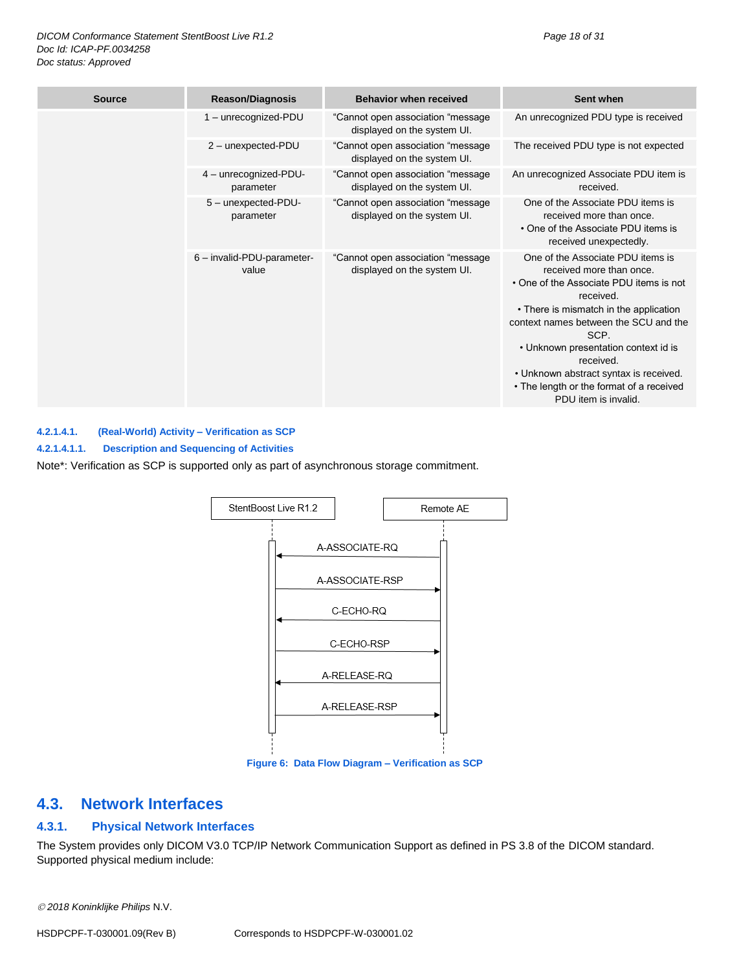| <b>Source</b> | <b>Reason/Diagnosis</b>             | <b>Behavior when received</b>                                     | Sent when                                                                                                                                                                                                                                                                                                                                                                           |
|---------------|-------------------------------------|-------------------------------------------------------------------|-------------------------------------------------------------------------------------------------------------------------------------------------------------------------------------------------------------------------------------------------------------------------------------------------------------------------------------------------------------------------------------|
|               | 1 - unrecognized-PDU                | "Cannot open association "message<br>displayed on the system UI.  | An unrecognized PDU type is received                                                                                                                                                                                                                                                                                                                                                |
|               | 2 - unexpected-PDU                  | "Cannot open association "message"<br>displayed on the system UI. | The received PDU type is not expected                                                                                                                                                                                                                                                                                                                                               |
|               | 4 - unrecognized-PDU-<br>parameter  | "Cannot open association "message<br>displayed on the system UI.  | An unrecognized Associate PDU item is<br>received.                                                                                                                                                                                                                                                                                                                                  |
|               | 5 - unexpected-PDU-<br>parameter    | "Cannot open association "message<br>displayed on the system UI.  | One of the Associate PDU items is<br>received more than once.<br>• One of the Associate PDU items is<br>received unexpectedly.                                                                                                                                                                                                                                                      |
|               | 6 - invalid-PDU-parameter-<br>value | "Cannot open association "message<br>displayed on the system UI.  | One of the Associate PDU items is<br>received more than once.<br>• One of the Associate PDU items is not<br>received.<br>• There is mismatch in the application<br>context names between the SCU and the<br>SCP.<br>• Unknown presentation context id is<br>received.<br>• Unknown abstract syntax is received.<br>• The length or the format of a received<br>PDU item is invalid. |

#### <span id="page-17-0"></span>**4.2.1.4.1. (Real-World) Activity – Verification as SCP**

**4.2.1.4.1.1. Description and Sequencing of Activities**

Note\*: Verification as SCP is supported only as part of asynchronous storage commitment.



**Figure 6: Data Flow Diagram – Verification as SCP**

## <span id="page-17-1"></span>**4.3. Network Interfaces**

### <span id="page-17-2"></span>**4.3.1. Physical Network Interfaces**

The System provides only DICOM V3.0 TCP/IP Network Communication Support as defined in PS 3.8 of the DICOM standard. Supported physical medium include:

*2018 Koninklijke Philips* N.V.

HSDPCPF-T-030001.09(Rev B) Corresponds to HSDPCPF-W-030001.02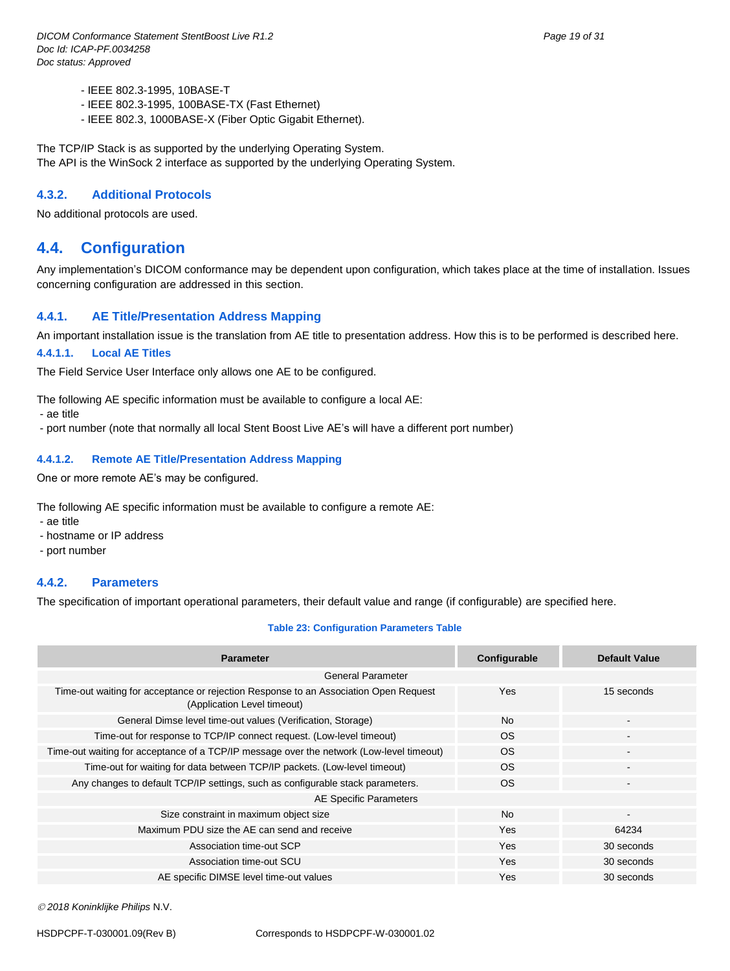- IEEE 802.3-1995, 10BASE-T
- IEEE 802.3-1995, 100BASE-TX (Fast Ethernet)
- IEEE 802.3, 1000BASE-X (Fiber Optic Gigabit Ethernet).

The TCP/IP Stack is as supported by the underlying Operating System. The API is the WinSock 2 interface as supported by the underlying Operating System.

#### <span id="page-18-0"></span>**4.3.2. Additional Protocols**

No additional protocols are used.

## <span id="page-18-1"></span>**4.4. Configuration**

Any implementation's DICOM conformance may be dependent upon configuration, which takes place at the time of installation. Issues concerning configuration are addressed in this section.

#### <span id="page-18-2"></span>**4.4.1. AE Title/Presentation Address Mapping**

An important installation issue is the translation from AE title to presentation address. How this is to be performed is described here.

#### <span id="page-18-3"></span>**4.4.1.1. Local AE Titles**

The Field Service User Interface only allows one AE to be configured.

The following AE specific information must be available to configure a local AE:

- ae title

- port number (note that normally all local Stent Boost Live AE's will have a different port number)

#### <span id="page-18-4"></span>**4.4.1.2. Remote AE Title/Presentation Address Mapping**

One or more remote AE's may be configured.

The following AE specific information must be available to configure a remote AE:

- ae title

- hostname or IP address
- port number

#### <span id="page-18-5"></span>**4.4.2. Parameters**

The specification of important operational parameters, their default value and range (if configurable) are specified here.

#### **Table 23: Configuration Parameters Table**

| <b>Parameter</b>                                                                                                    | Configurable | <b>Default Value</b>     |
|---------------------------------------------------------------------------------------------------------------------|--------------|--------------------------|
| <b>General Parameter</b>                                                                                            |              |                          |
| Time-out waiting for acceptance or rejection Response to an Association Open Request<br>(Application Level timeout) | Yes          | 15 seconds               |
| General Dimse level time-out values (Verification, Storage)                                                         | <b>No</b>    | $\overline{\phantom{a}}$ |
| Time-out for response to TCP/IP connect request. (Low-level timeout)                                                | OS.          | $\blacksquare$           |
| Time-out waiting for acceptance of a TCP/IP message over the network (Low-level timeout)                            | <b>OS</b>    |                          |
| Time-out for waiting for data between TCP/IP packets. (Low-level timeout)                                           | <b>OS</b>    | $\overline{\phantom{a}}$ |
| Any changes to default TCP/IP settings, such as configurable stack parameters.                                      | <b>OS</b>    |                          |
| AE Specific Parameters                                                                                              |              |                          |
| Size constraint in maximum object size                                                                              | <b>No</b>    | $\blacksquare$           |
| Maximum PDU size the AE can send and receive                                                                        | Yes          | 64234                    |
| Association time-out SCP                                                                                            | <b>Yes</b>   | 30 seconds               |
| Association time-out SCU                                                                                            | Yes          | 30 seconds               |
| AE specific DIMSE level time-out values                                                                             | Yes          | 30 seconds               |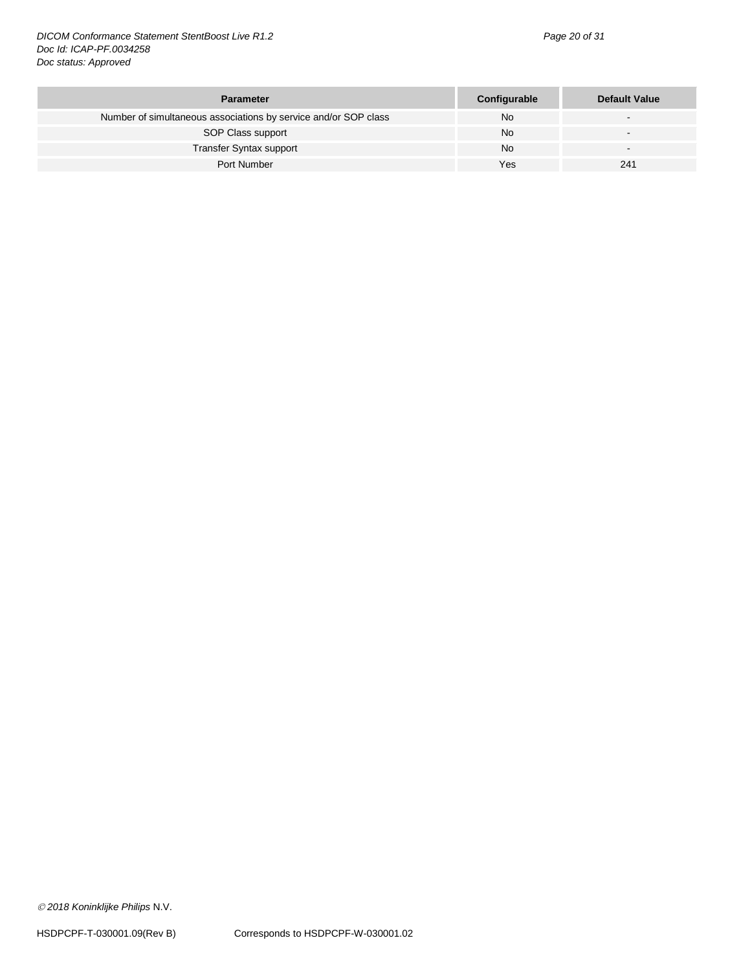*DICOM Conformance Statement StentBoost Live R1.2 Page 20 of 31 Doc Id: ICAP-PF.0034258 Doc status: Approved*

| <b>Parameter</b>                                                | Configurable | <b>Default Value</b> |
|-----------------------------------------------------------------|--------------|----------------------|
| Number of simultaneous associations by service and/or SOP class | No           |                      |
| SOP Class support                                               | No           |                      |
| <b>Transfer Syntax support</b>                                  | No           |                      |
| Port Number                                                     | Yes          | 241                  |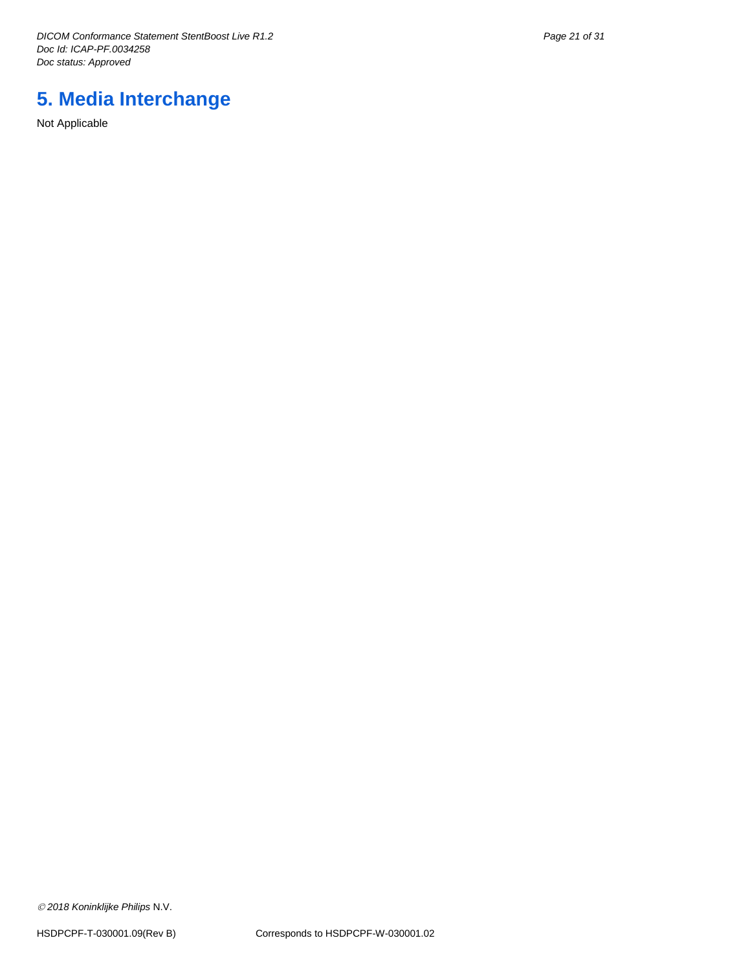*DICOM Conformance Statement StentBoost Live R1.2 Page 21 of 31 Doc Id: ICAP-PF.0034258 Doc status: Approved*

# <span id="page-20-0"></span>**5. Media Interchange**

Not Applicable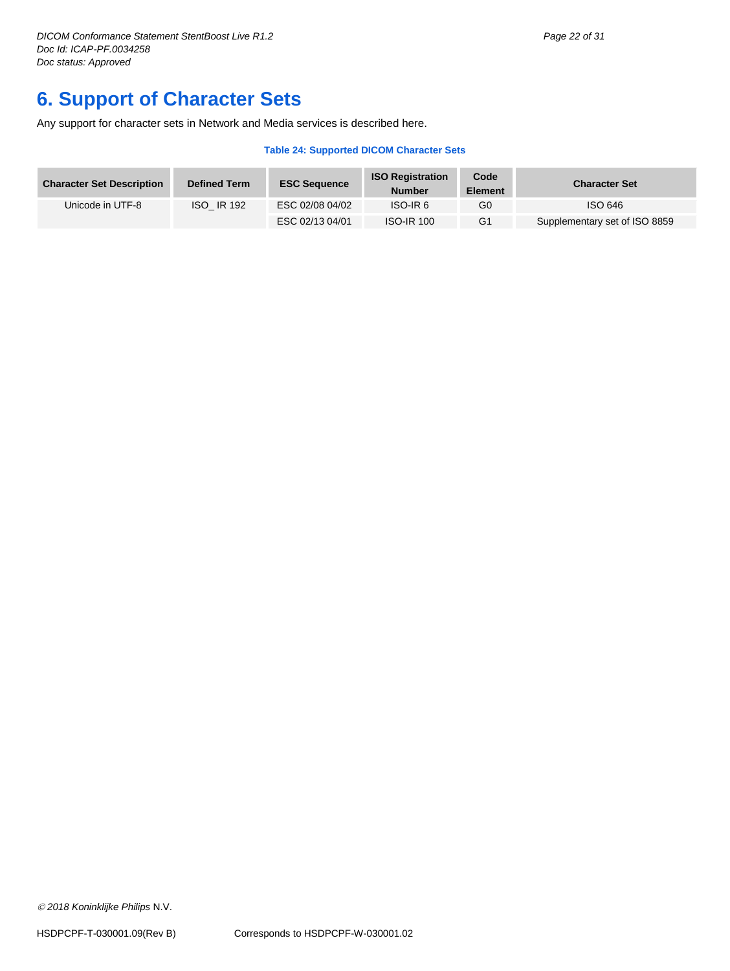# <span id="page-21-0"></span>**6. Support of Character Sets**

Any support for character sets in Network and Media services is described here.

#### **Table 24: Supported DICOM Character Sets**

| <b>Character Set Description</b> | <b>Defined Term</b> | <b>ESC Sequence</b> | <b>ISO Registration</b><br><b>Number</b> | Code<br><b>Element</b> | <b>Character Set</b>          |
|----------------------------------|---------------------|---------------------|------------------------------------------|------------------------|-------------------------------|
| Unicode in UTF-8                 | <b>ISO IR 192</b>   | ESC 02/08 04/02     | ISO-IR <sub>6</sub>                      | G0                     | ISO 646                       |
|                                  |                     | ESC 02/13 04/01     | <b>ISO-IR 100</b>                        | G <sub>1</sub>         | Supplementary set of ISO 8859 |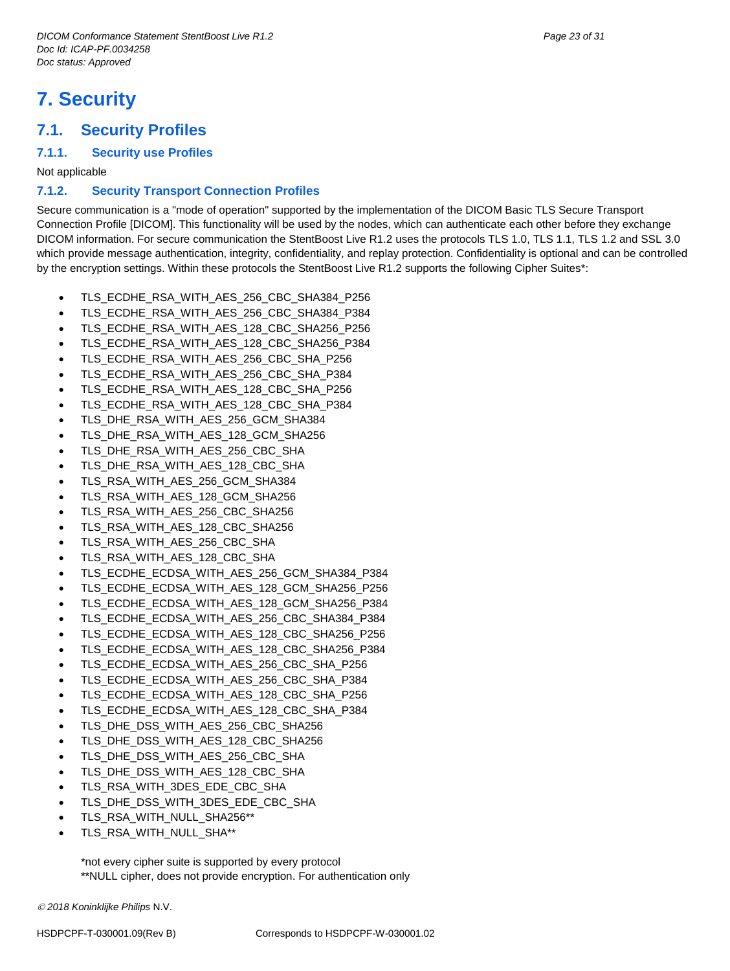# <span id="page-22-0"></span>**7. Security**

## <span id="page-22-1"></span>**7.1. Security Profiles**

#### <span id="page-22-2"></span>**7.1.1. Security use Profiles**

Not applicable

#### <span id="page-22-3"></span>**7.1.2. Security Transport Connection Profiles**

Secure communication is a "mode of operation" supported by the implementation of the DICOM Basic TLS Secure Transport Connection Profile [DICOM]. This functionality will be used by the nodes, which can authenticate each other before they exchange DICOM information. For secure communication the StentBoost Live R1.2 uses the protocols TLS 1.0, TLS 1.1, TLS 1.2 and SSL 3.0 which provide message authentication, integrity, confidentiality, and replay protection. Confidentiality is optional and can be controlled by the encryption settings. Within these protocols the StentBoost Live R1.2 supports the following Cipher Suites\*:

- TLS\_ECDHE\_RSA\_WITH\_AES\_256\_CBC\_SHA384\_P256
- TLS\_ECDHE\_RSA\_WITH\_AES\_256\_CBC\_SHA384\_P384
- TLS\_ECDHE\_RSA\_WITH\_AES\_128\_CBC\_SHA256\_P256
- TLS\_ECDHE\_RSA\_WITH\_AES\_128\_CBC\_SHA256\_P384
- TLS\_ECDHE\_RSA\_WITH\_AES\_256\_CBC\_SHA\_P256
- TLS\_ECDHE\_RSA\_WITH\_AES\_256\_CBC\_SHA\_P384
- TLS\_ECDHE\_RSA\_WITH\_AES\_128\_CBC\_SHA\_P256
- TLS\_ECDHE\_RSA\_WITH\_AES\_128\_CBC\_SHA\_P384
- TLS\_DHE\_RSA\_WITH\_AES\_256\_GCM\_SHA384
- TLS\_DHE\_RSA\_WITH\_AES\_128\_GCM\_SHA256
- TLS\_DHE\_RSA\_WITH\_AES\_256\_CBC\_SHA
- TLS\_DHE\_RSA\_WITH\_AES\_128\_CBC\_SHA
- TLS\_RSA\_WITH\_AES\_256\_GCM\_SHA384
- TLS\_RSA\_WITH\_AES\_128\_GCM\_SHA256
- TLS\_RSA\_WITH\_AES\_256\_CBC\_SHA256
- TLS\_RSA\_WITH\_AES\_128\_CBC\_SHA256
- TLS\_RSA\_WITH\_AES\_256\_CBC\_SHA
- TLS\_RSA\_WITH\_AES\_128\_CBC\_SHA
- TLS\_ECDHE\_ECDSA\_WITH\_AES\_256\_GCM\_SHA384\_P384
- TLS\_ECDHE\_ECDSA\_WITH\_AES\_128\_GCM\_SHA256\_P256
- TLS\_ECDHE\_ECDSA\_WITH\_AES\_128\_GCM\_SHA256\_P384
- TLS\_ECDHE\_ECDSA\_WITH\_AES\_256\_CBC\_SHA384\_P384
- TLS\_ECDHE\_ECDSA\_WITH\_AES\_128\_CBC\_SHA256\_P256
- TLS\_ECDHE\_ECDSA\_WITH\_AES\_128\_CBC\_SHA256\_P384
- TLS\_ECDHE\_ECDSA\_WITH\_AES\_256\_CBC\_SHA\_P256
- TLS\_ECDHE\_ECDSA\_WITH\_AES\_256\_CBC\_SHA\_P384
- 
- TLS\_ECDHE\_ECDSA\_WITH\_AES\_128\_CBC\_SHA\_P256 TLS\_ECDHE\_ECDSA\_WITH\_AES\_128\_CBC\_SHA\_P384
- 
- TLS\_DHE\_DSS\_WITH\_AES\_256\_CBC\_SHA256
- TLS\_DHE\_DSS\_WITH\_AES\_128\_CBC\_SHA256
- TLS\_DHE\_DSS\_WITH\_AES\_256\_CBC\_SHA
- TLS\_DHE\_DSS\_WITH\_AES\_128\_CBC\_SHA
- TLS\_RSA\_WITH\_3DES\_EDE\_CBC\_SHA
- TLS\_DHE\_DSS\_WITH\_3DES\_EDE\_CBC\_SHA
- TLS\_RSA\_WITH\_NULL\_SHA256\*\*
- TLS\_RSA\_WITH\_NULL\_SHA\*\*

\*not every cipher suite is supported by every protocol \*\*NULL cipher, does not provide encryption. For authentication only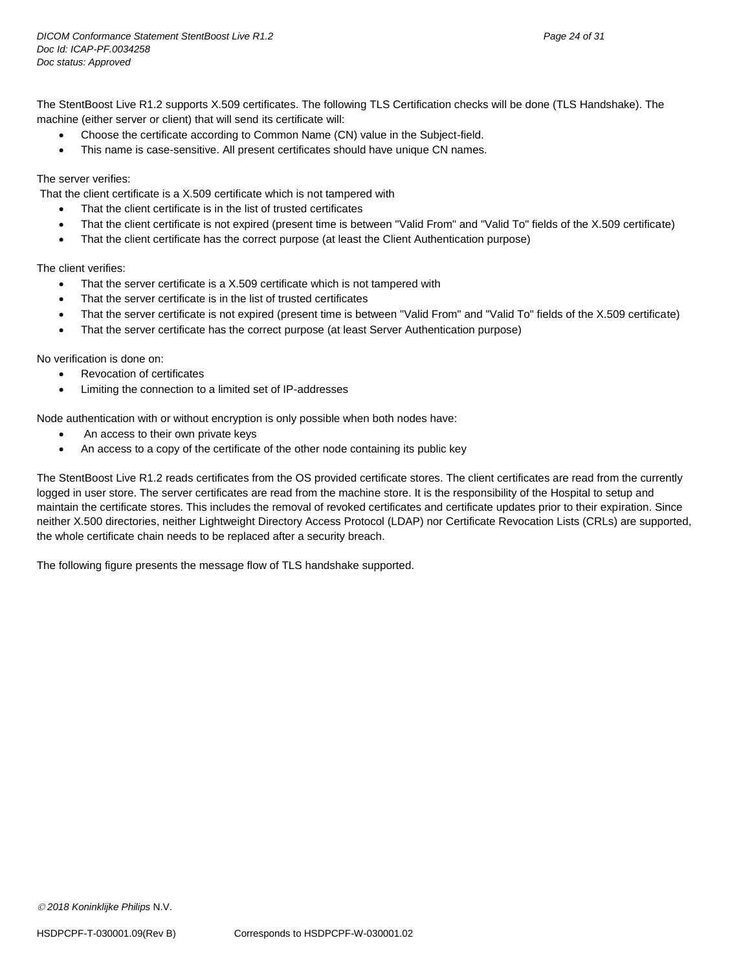The StentBoost Live R1.2 supports X.509 certificates. The following TLS Certification checks will be done (TLS Handshake). The machine (either server or client) that will send its certificate will:

- Choose the certificate according to Common Name (CN) value in the Subject-field.
- This name is case-sensitive. All present certificates should have unique CN names.

#### The server verifies:

That the client certificate is a X.509 certificate which is not tampered with

- That the client certificate is in the list of trusted certificates
- That the client certificate is not expired (present time is between "Valid From" and "Valid To" fields of the X.509 certificate)
- That the client certificate has the correct purpose (at least the Client Authentication purpose)

The client verifies:

- That the server certificate is a X.509 certificate which is not tampered with
- That the server certificate is in the list of trusted certificates
- That the server certificate is not expired (present time is between "Valid From" and "Valid To" fields of the X.509 certificate)
- That the server certificate has the correct purpose (at least Server Authentication purpose)

No verification is done on:

- Revocation of certificates
- Limiting the connection to a limited set of IP-addresses

Node authentication with or without encryption is only possible when both nodes have:

- An access to their own private keys
- An access to a copy of the certificate of the other node containing its public key

The StentBoost Live R1.2 reads certificates from the OS provided certificate stores. The client certificates are read from the currently logged in user store. The server certificates are read from the machine store. It is the responsibility of the Hospital to setup and maintain the certificate stores. This includes the removal of revoked certificates and certificate updates prior to their expiration. Since neither X.500 directories, neither Lightweight Directory Access Protocol (LDAP) nor Certificate Revocation Lists (CRLs) are supported, the whole certificate chain needs to be replaced after a security breach.

The following figure presents the message flow of TLS handshake supported.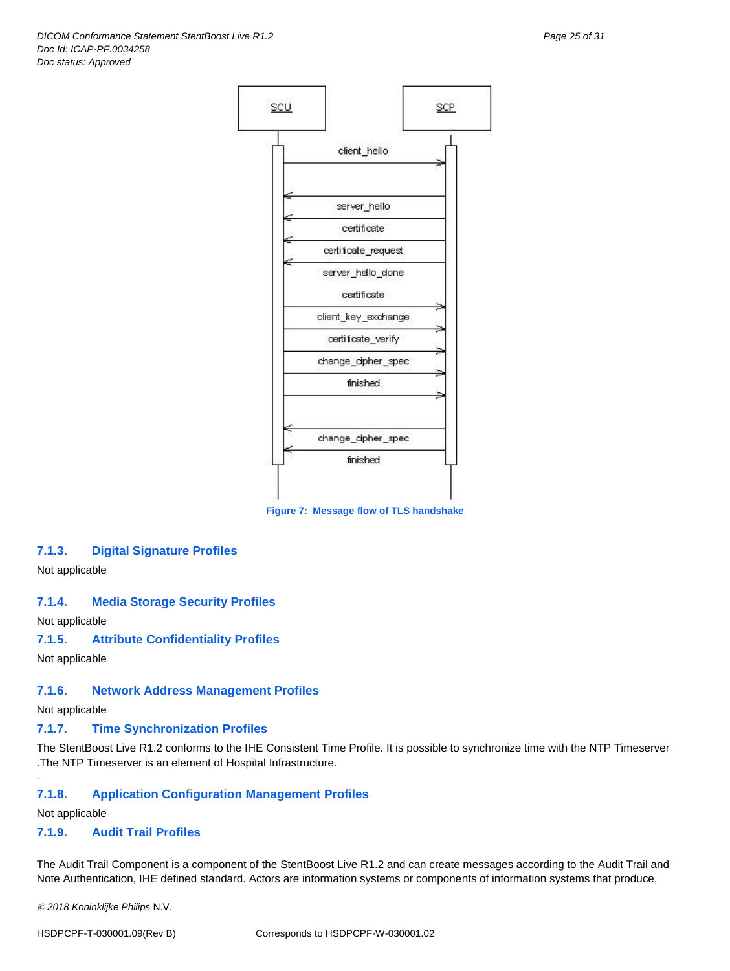

**Figure 7: Message flow of TLS handshake**

#### <span id="page-24-0"></span>**7.1.3. Digital Signature Profiles**

Not applicable

#### <span id="page-24-1"></span>**7.1.4. Media Storage Security Profiles**

Not applicable

#### <span id="page-24-2"></span>**7.1.5. Attribute Confidentiality Profiles**

Not applicable

#### <span id="page-24-3"></span>**7.1.6. Network Address Management Profiles**

Not applicable

#### <span id="page-24-4"></span>**7.1.7. Time Synchronization Profiles**

The StentBoost Live R1.2 conforms to the IHE Consistent Time Profile. It is possible to synchronize time with the NTP Timeserver .The NTP Timeserver is an element of Hospital Infrastructure.

#### <span id="page-24-5"></span>**7.1.8. Application Configuration Management Profiles**

Not applicable

.

#### <span id="page-24-6"></span>**7.1.9. Audit Trail Profiles**

The Audit Trail Component is a component of the StentBoost Live R1.2 and can create messages according to the Audit Trail and Note Authentication, IHE defined standard. Actors are information systems or components of information systems that produce,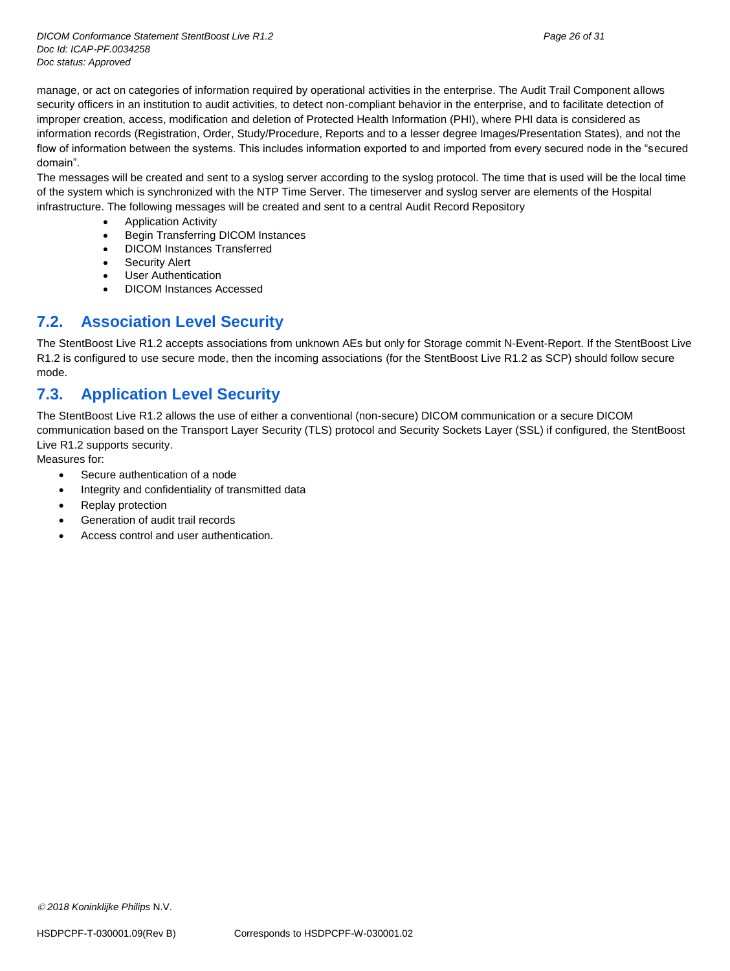manage, or act on categories of information required by operational activities in the enterprise. The Audit Trail Component allows security officers in an institution to audit activities, to detect non-compliant behavior in the enterprise, and to facilitate detection of improper creation, access, modification and deletion of Protected Health Information (PHI), where PHI data is considered as information records (Registration, Order, Study/Procedure, Reports and to a lesser degree Images/Presentation States), and not the flow of information between the systems. This includes information exported to and imported from every secured node in the "secured domain".

The messages will be created and sent to a syslog server according to the syslog protocol. The time that is used will be the local time of the system which is synchronized with the NTP Time Server. The timeserver and syslog server are elements of the Hospital infrastructure. The following messages will be created and sent to a central Audit Record Repository

- Application Activity
- Begin Transferring DICOM Instances
- DICOM Instances Transferred
- Security Alert
- User Authentication
- DICOM Instances Accessed

# <span id="page-25-0"></span>**7.2. Association Level Security**

The StentBoost Live R1.2 accepts associations from unknown AEs but only for Storage commit N-Event-Report. If the StentBoost Live R1.2 is configured to use secure mode, then the incoming associations (for the StentBoost Live R1.2 as SCP) should follow secure mode.

# <span id="page-25-1"></span>**7.3. Application Level Security**

The StentBoost Live R1.2 allows the use of either a conventional (non-secure) DICOM communication or a secure DICOM communication based on the Transport Layer Security (TLS) protocol and Security Sockets Layer (SSL) if configured, the StentBoost Live R1.2 supports security.

Measures for:

- Secure authentication of a node
- Integrity and confidentiality of transmitted data
- Replay protection
- Generation of audit trail records
- Access control and user authentication.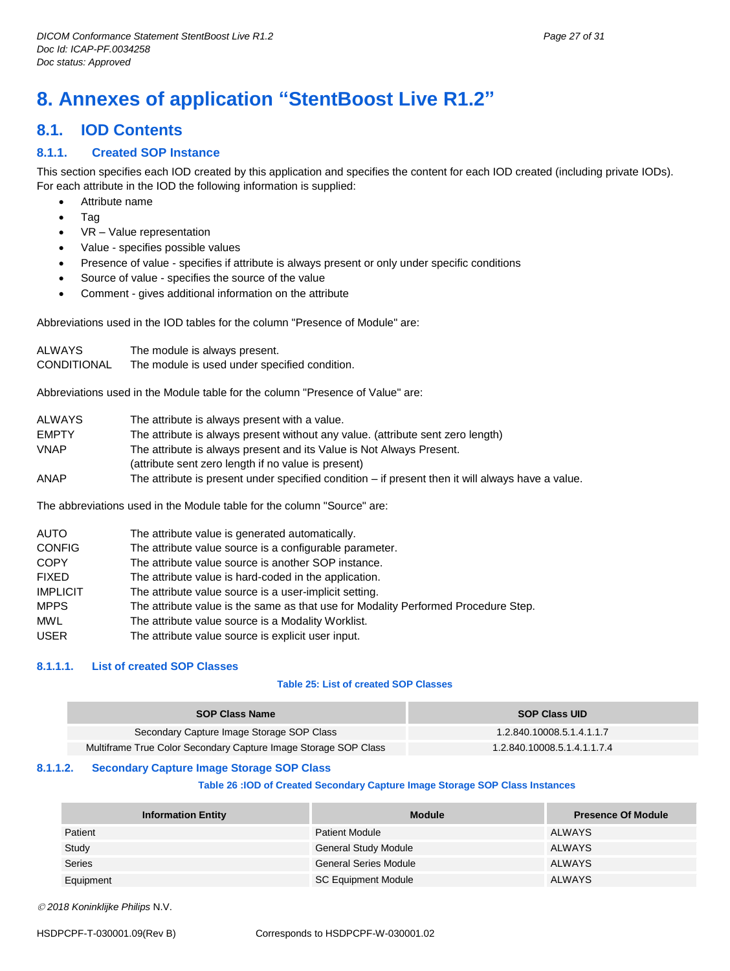# <span id="page-26-0"></span>**8. Annexes of application "StentBoost Live R1.2"**

# <span id="page-26-1"></span>**8.1. IOD Contents**

#### <span id="page-26-2"></span>**8.1.1. Created SOP Instance**

This section specifies each IOD created by this application and specifies the content for each IOD created (including private IODs). For each attribute in the IOD the following information is supplied:

- Attribute name
- Tag
- VR Value representation
- Value specifies possible values
- Presence of value specifies if attribute is always present or only under specific conditions
- Source of value specifies the source of the value
- Comment gives additional information on the attribute

Abbreviations used in the IOD tables for the column "Presence of Module" are:

| ALWAYS      | The module is always present.                 |
|-------------|-----------------------------------------------|
| CONDITIONAL | The module is used under specified condition. |

Abbreviations used in the Module table for the column "Presence of Value" are:

| <b>ALWAYS</b> | The attribute is always present with a value.                                                       |
|---------------|-----------------------------------------------------------------------------------------------------|
| <b>EMPTY</b>  | The attribute is always present without any value. (attribute sent zero length)                     |
| <b>VNAP</b>   | The attribute is always present and its Value is Not Always Present.                                |
|               | (attribute sent zero length if no value is present)                                                 |
| ANAP          | The attribute is present under specified condition $-$ if present then it will always have a value. |

The abbreviations used in the Module table for the column "Source" are:

| <b>AUTO</b>     | The attribute value is generated automatically.                                    |
|-----------------|------------------------------------------------------------------------------------|
| <b>CONFIG</b>   | The attribute value source is a configurable parameter.                            |
| <b>COPY</b>     | The attribute value source is another SOP instance.                                |
| <b>FIXED</b>    | The attribute value is hard-coded in the application.                              |
| <b>IMPLICIT</b> | The attribute value source is a user-implicit setting.                             |
| <b>MPPS</b>     | The attribute value is the same as that use for Modality Performed Procedure Step. |
| <b>MWL</b>      | The attribute value source is a Modality Worklist.                                 |
| <b>USER</b>     | The attribute value source is explicit user input.                                 |

#### <span id="page-26-3"></span>**8.1.1.1. List of created SOP Classes**

#### **Table 25: List of created SOP Classes**

| <b>SOP Class Name</b>                                           | <b>SOP Class UID</b>        |
|-----------------------------------------------------------------|-----------------------------|
| Secondary Capture Image Storage SOP Class                       | 1.2.840.10008.5.1.4.1.1.7   |
| Multiframe True Color Secondary Capture Image Storage SOP Class | 1.2.840.10008.5.1.4.1.1.7.4 |

#### <span id="page-26-4"></span>**8.1.1.2. Secondary Capture Image Storage SOP Class**

#### **Table 26 :IOD of Created Secondary Capture Image Storage SOP Class Instances**

| <b>Information Entity</b> | <b>Module</b>                | <b>Presence Of Module</b> |
|---------------------------|------------------------------|---------------------------|
| Patient                   | <b>Patient Module</b>        | ALWAYS                    |
| Study                     | <b>General Study Module</b>  | ALWAYS                    |
| <b>Series</b>             | <b>General Series Module</b> | ALWAYS                    |
| Equipment                 | <b>SC Equipment Module</b>   | <b>ALWAYS</b>             |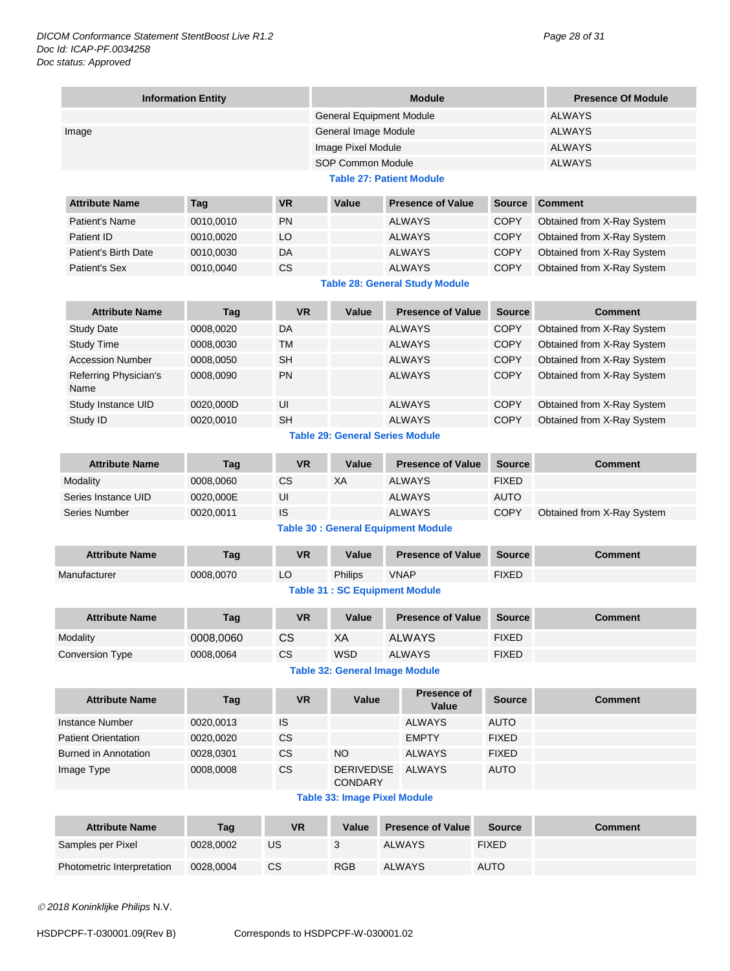|                               | <b>Information Entity</b> |           |                                        | <b>Presence Of Module</b>                  |               |                            |  |  |
|-------------------------------|---------------------------|-----------|----------------------------------------|--------------------------------------------|---------------|----------------------------|--|--|
|                               |                           |           | <b>General Equipment Module</b>        |                                            |               | <b>ALWAYS</b>              |  |  |
| Image                         |                           |           | General Image Module                   |                                            |               | <b>ALWAYS</b>              |  |  |
|                               |                           |           | Image Pixel Module                     |                                            | <b>ALWAYS</b> |                            |  |  |
|                               |                           |           | SOP Common Module                      |                                            |               | <b>ALWAYS</b>              |  |  |
|                               |                           |           |                                        | <b>Table 27: Patient Module</b>            |               |                            |  |  |
| <b>Attribute Name</b>         | Tag                       | <b>VR</b> | Value                                  | <b>Presence of Value</b>                   | <b>Source</b> | <b>Comment</b>             |  |  |
| <b>Patient's Name</b>         | 0010,0010                 | <b>PN</b> |                                        | <b>ALWAYS</b>                              | <b>COPY</b>   | Obtained from X-Ray System |  |  |
| Patient ID                    | 0010,0020                 | LO        |                                        | <b>ALWAYS</b>                              | <b>COPY</b>   | Obtained from X-Ray System |  |  |
| <b>Patient's Birth Date</b>   | 0010,0030                 | DA        |                                        | <b>ALWAYS</b>                              | <b>COPY</b>   | Obtained from X-Ray System |  |  |
| <b>Patient's Sex</b>          | 0010,0040                 | <b>CS</b> |                                        | <b>ALWAYS</b>                              | <b>COPY</b>   | Obtained from X-Ray System |  |  |
|                               |                           |           |                                        | <b>Table 28: General Study Module</b>      |               |                            |  |  |
| <b>Attribute Name</b>         | Tag                       | <b>VR</b> | Value                                  | <b>Presence of Value</b>                   | <b>Source</b> | <b>Comment</b>             |  |  |
| <b>Study Date</b>             | 0008,0020                 | DA        |                                        | <b>ALWAYS</b>                              | <b>COPY</b>   | Obtained from X-Ray System |  |  |
| <b>Study Time</b>             | 0008,0030                 | TM        |                                        | <b>ALWAYS</b>                              | <b>COPY</b>   | Obtained from X-Ray System |  |  |
| <b>Accession Number</b>       | 0008,0050                 | <b>SH</b> |                                        | <b>ALWAYS</b>                              | <b>COPY</b>   | Obtained from X-Ray System |  |  |
| Referring Physician's<br>Name | 0008,0090                 | <b>PN</b> |                                        | <b>ALWAYS</b>                              | <b>COPY</b>   | Obtained from X-Ray System |  |  |
| Study Instance UID            | 0020,000D                 | UI        |                                        | <b>ALWAYS</b>                              | <b>COPY</b>   | Obtained from X-Ray System |  |  |
| Study ID                      | 0020,0010                 | <b>SH</b> |                                        | <b>ALWAYS</b>                              | COPY          | Obtained from X-Ray System |  |  |
|                               |                           |           | <b>Table 29: General Series Module</b> |                                            |               |                            |  |  |
| <b>Attribute Name</b>         | Tag                       | <b>VR</b> | Value                                  | <b>Presence of Value</b>                   | <b>Source</b> | <b>Comment</b>             |  |  |
| Modality                      | 0008,0060                 | CS        | XA                                     | <b>ALWAYS</b>                              | <b>FIXED</b>  |                            |  |  |
| Series Instance UID           | 0020,000E                 | UI        |                                        | <b>ALWAYS</b>                              | AUTO          |                            |  |  |
| <b>Series Number</b>          | 0020,0011                 | IS        |                                        | <b>ALWAYS</b>                              | <b>COPY</b>   | Obtained from X-Ray System |  |  |
|                               |                           |           |                                        | <b>Table 30 : General Equipment Module</b> |               |                            |  |  |
| <b>Attribute Name</b>         | Tag                       | <b>VR</b> | Value                                  | <b>Presence of Value</b>                   | <b>Source</b> | <b>Comment</b>             |  |  |
| Manufacturer                  | 0008,0070                 | LO        | Philips                                | <b>VNAP</b>                                | <b>FIXED</b>  |                            |  |  |
|                               |                           |           | <b>Table 31: SC Equipment Module</b>   |                                            |               |                            |  |  |
| <b>Attribute Name</b>         | Tag                       | <b>VR</b> | Value                                  | <b>Presence of Value</b>                   | <b>Source</b> | <b>Comment</b>             |  |  |
| Modality                      | 0008,0060                 | CS        | XA                                     | <b>ALWAYS</b>                              | <b>FIXED</b>  |                            |  |  |
| Conversion Type               | 0008,0064                 | <b>CS</b> | <b>WSD</b>                             | <b>ALWAYS</b>                              | <b>FIXED</b>  |                            |  |  |
|                               |                           |           | <b>Table 32: General Image Module</b>  |                                            |               |                            |  |  |
| <b>Attribute Name</b>         | Tag                       | <b>VR</b> | Value                                  | Presence of<br>Value                       | <b>Source</b> | <b>Comment</b>             |  |  |
| <b>Instance Number</b>        | 0020,0013                 | IS        |                                        | <b>ALWAYS</b>                              | <b>AUTO</b>   |                            |  |  |
| <b>Patient Orientation</b>    | 0020,0020                 | CS        |                                        | <b>EMPTY</b>                               | <b>FIXED</b>  |                            |  |  |
| <b>Burned in Annotation</b>   | 0028,0301                 | CS        | <b>NO</b>                              | <b>ALWAYS</b>                              | <b>FIXED</b>  |                            |  |  |
| Image Type                    | 0008,0008                 | <b>CS</b> | <b>DERIVED\SE</b><br><b>CONDARY</b>    | <b>ALWAYS</b>                              | <b>AUTO</b>   |                            |  |  |
|                               |                           |           | <b>Table 33: Image Pixel Module</b>    |                                            |               |                            |  |  |
| <b>Attribute Name</b>         | Tag                       | <b>VR</b> | Value                                  | <b>Presence of Value</b>                   | <b>Source</b> | <b>Comment</b>             |  |  |
| Samples per Pixel             | 0028,0002                 | US        | 3                                      | <b>ALWAYS</b>                              | <b>FIXED</b>  |                            |  |  |
| Photometric Interpretation    | 0028,0004                 | <b>CS</b> | <b>RGB</b>                             | <b>ALWAYS</b>                              | <b>AUTO</b>   |                            |  |  |
|                               |                           |           |                                        |                                            |               |                            |  |  |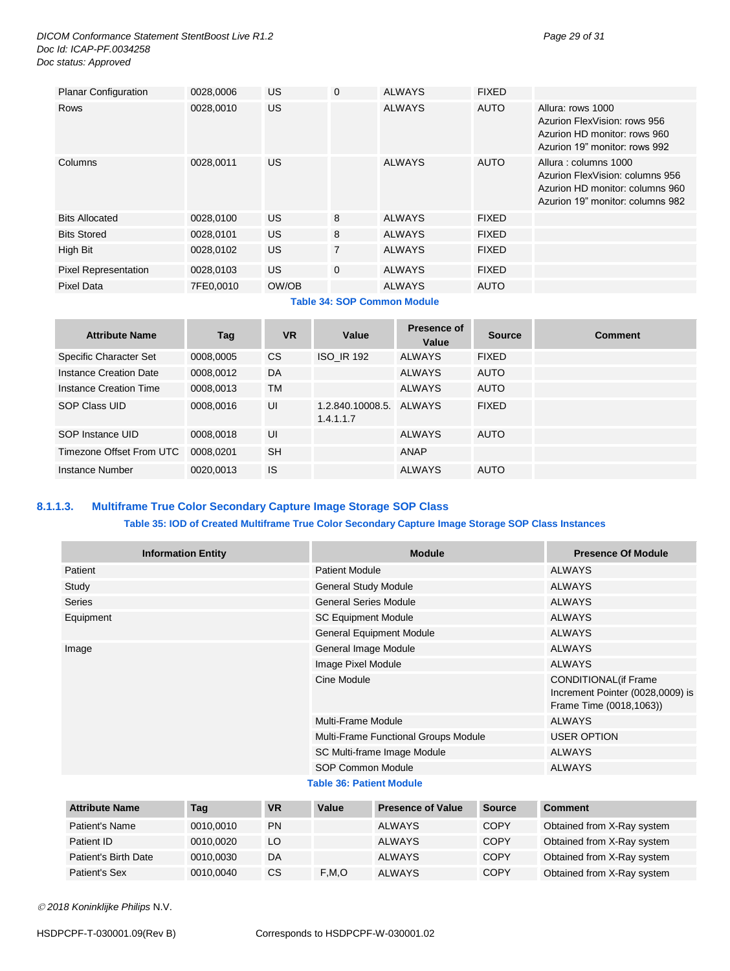*DICOM Conformance Statement StentBoost Live R1.2 Page 29 of 31 Doc Id: ICAP-PF.0034258 Doc status: Approved*

| <b>Planar Configuration</b> | 0028,0006 | <b>US</b> | 0 | <b>ALWAYS</b>               | <b>FIXED</b> |                                                                                                                                |
|-----------------------------|-----------|-----------|---|-----------------------------|--------------|--------------------------------------------------------------------------------------------------------------------------------|
| <b>Rows</b>                 | 0028,0010 | <b>US</b> |   | <b>ALWAYS</b>               | <b>AUTO</b>  | Allura: rows 1000<br>Azurion FlexVision: rows 956<br>Azurion HD monitor: rows 960<br>Azurion 19" monitor: rows 992             |
| Columns                     | 0028,0011 | US.       |   | <b>ALWAYS</b>               | <b>AUTO</b>  | Allura: columns 1000<br>Azurion FlexVision: columns 956<br>Azurion HD monitor: columns 960<br>Azurion 19" monitor: columns 982 |
| <b>Bits Allocated</b>       | 0028,0100 | US.       | 8 | <b>ALWAYS</b>               | <b>FIXED</b> |                                                                                                                                |
| <b>Bits Stored</b>          | 0028.0101 | <b>US</b> | 8 | <b>ALWAYS</b>               | <b>FIXED</b> |                                                                                                                                |
| High Bit                    | 0028,0102 | <b>US</b> | 7 | <b>ALWAYS</b>               | <b>FIXED</b> |                                                                                                                                |
| <b>Pixel Representation</b> | 0028,0103 | US.       | 0 | <b>ALWAYS</b>               | <b>FIXED</b> |                                                                                                                                |
| Pixel Data                  | 7FE0,0010 | OW/OB     |   | <b>ALWAYS</b>               | AUTO         |                                                                                                                                |
|                             |           |           |   | Toble 24: COB Common Module |              |                                                                                                                                |

**Table 34: SOP Common Module**

| <b>Attribute Name</b>    | Tag       | <b>VR</b> | Value                         | Presence of<br>Value | <b>Source</b> | <b>Comment</b> |
|--------------------------|-----------|-----------|-------------------------------|----------------------|---------------|----------------|
| Specific Character Set   | 0008,0005 | CS.       | <b>ISO IR 192</b>             | <b>ALWAYS</b>        | <b>FIXED</b>  |                |
| Instance Creation Date   | 0008,0012 | DA        |                               | <b>ALWAYS</b>        | <b>AUTO</b>   |                |
| Instance Creation Time   | 0008,0013 | <b>TM</b> |                               | <b>ALWAYS</b>        | <b>AUTO</b>   |                |
| SOP Class UID            | 0008,0016 | UI        | 1.2.840.10008.5.<br>1.4.1.1.7 | AI WAYS              | <b>FIXED</b>  |                |
| SOP Instance UID         | 0008,0018 | UI        |                               | <b>ALWAYS</b>        | <b>AUTO</b>   |                |
| Timezone Offset From UTC | 0008.0201 | <b>SH</b> |                               | ANAP                 |               |                |
| Instance Number          | 0020.0013 | <b>IS</b> |                               | <b>ALWAYS</b>        | AUTO          |                |

# <span id="page-28-0"></span>**8.1.1.3. Multiframe True Color Secondary Capture Image Storage SOP Class**

#### **Table 35: IOD of Created Multiframe True Color Secondary Capture Image Storage SOP Class Instances**

| <b>Information Entity</b> | <b>Module</b>                        | <b>Presence Of Module</b>                                                                   |
|---------------------------|--------------------------------------|---------------------------------------------------------------------------------------------|
| Patient                   | <b>Patient Module</b>                | ALWAYS                                                                                      |
| Study                     | <b>General Study Module</b>          | <b>ALWAYS</b>                                                                               |
| <b>Series</b>             | <b>General Series Module</b>         | <b>ALWAYS</b>                                                                               |
| Equipment                 | <b>SC Equipment Module</b>           | <b>ALWAYS</b>                                                                               |
|                           | <b>General Equipment Module</b>      | <b>ALWAYS</b>                                                                               |
| Image                     | General Image Module                 | <b>ALWAYS</b>                                                                               |
|                           | Image Pixel Module                   | <b>ALWAYS</b>                                                                               |
|                           | Cine Module                          | <b>CONDITIONAL</b> (if Frame<br>Increment Pointer (0028,0009) is<br>Frame Time (0018,1063)) |
|                           | Multi-Frame Module                   | <b>ALWAYS</b>                                                                               |
|                           | Multi-Frame Functional Groups Module | <b>USER OPTION</b>                                                                          |
|                           | SC Multi-frame Image Module          | <b>ALWAYS</b>                                                                               |
|                           | SOP Common Module                    | <b>ALWAYS</b>                                                                               |
|                           | <b>Table 36: Patient Module</b>      |                                                                                             |

| <b>Attribute Name</b> | Tag       | <b>VR</b> | Value | <b>Presence of Value</b> | Source      | <b>Comment</b>             |
|-----------------------|-----------|-----------|-------|--------------------------|-------------|----------------------------|
| Patient's Name        | 0010.0010 | <b>PN</b> |       | <b>ALWAYS</b>            | <b>COPY</b> | Obtained from X-Ray system |
| Patient ID            | 0010.0020 | LO        |       | <b>ALWAYS</b>            | <b>COPY</b> | Obtained from X-Ray system |
| Patient's Birth Date  | 0010.0030 | DA        |       | <b>ALWAYS</b>            | <b>COPY</b> | Obtained from X-Ray system |
| Patient's Sex         | 0010.0040 | СS        | F.M.O | <b>ALWAYS</b>            | COPY        | Obtained from X-Ray system |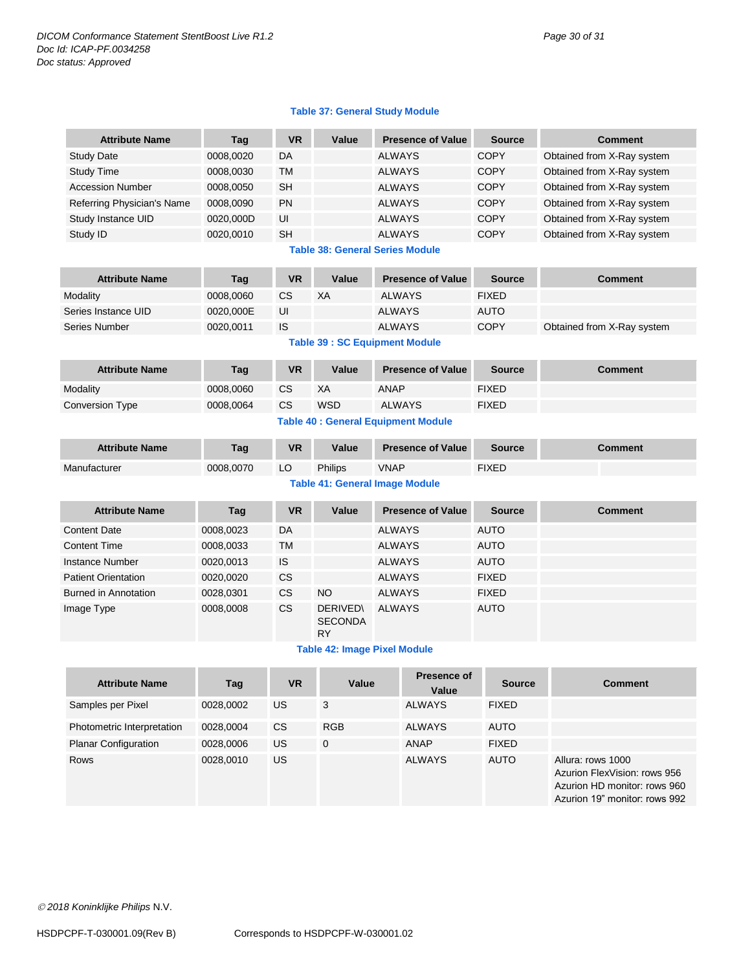#### **Table 37: General Study Module**

| <b>Attribute Name</b>                      | Tag       | <b>VR</b> | Value                                          |                          | <b>Presence of Value</b> | <b>Source</b>  | <b>Comment</b>                                                                                                     |  |  |
|--------------------------------------------|-----------|-----------|------------------------------------------------|--------------------------|--------------------------|----------------|--------------------------------------------------------------------------------------------------------------------|--|--|
| Study Date                                 | 0008,0020 | DA        |                                                | <b>ALWAYS</b>            |                          | <b>COPY</b>    | Obtained from X-Ray system                                                                                         |  |  |
| <b>Study Time</b>                          | 0008,0030 | ТM        |                                                | <b>ALWAYS</b>            |                          | <b>COPY</b>    | Obtained from X-Ray system                                                                                         |  |  |
| <b>Accession Number</b>                    | 0008,0050 | SH        |                                                | <b>ALWAYS</b>            |                          | <b>COPY</b>    | Obtained from X-Ray system                                                                                         |  |  |
| Referring Physician's Name                 | 0008,0090 | PN        |                                                | <b>ALWAYS</b>            |                          | <b>COPY</b>    | Obtained from X-Ray system                                                                                         |  |  |
| Study Instance UID                         | 0020,000D | UI        |                                                | <b>ALWAYS</b>            |                          | <b>COPY</b>    | Obtained from X-Ray system                                                                                         |  |  |
| Study ID                                   | 0020,0010 | <b>SH</b> |                                                | <b>ALWAYS</b>            |                          | <b>COPY</b>    | Obtained from X-Ray system                                                                                         |  |  |
| <b>Table 38: General Series Module</b>     |           |           |                                                |                          |                          |                |                                                                                                                    |  |  |
| <b>Attribute Name</b>                      | Tag       | <b>VR</b> | Value                                          |                          | <b>Presence of Value</b> | <b>Source</b>  | <b>Comment</b>                                                                                                     |  |  |
| Modality                                   | 0008,0060 | <b>CS</b> | XA                                             | <b>ALWAYS</b>            |                          | <b>FIXED</b>   |                                                                                                                    |  |  |
| Series Instance UID                        | 0020,000E | UI        |                                                | <b>ALWAYS</b>            |                          | <b>AUTO</b>    |                                                                                                                    |  |  |
| Series Number                              | 0020,0011 | <b>IS</b> |                                                | <b>ALWAYS</b>            |                          | <b>COPY</b>    | Obtained from X-Ray system                                                                                         |  |  |
|                                            |           |           | <b>Table 39 : SC Equipment Module</b>          |                          |                          |                |                                                                                                                    |  |  |
| <b>Attribute Name</b>                      | Tag       | <b>VR</b> | Value                                          | <b>Presence of Value</b> |                          | <b>Source</b>  | <b>Comment</b>                                                                                                     |  |  |
| Modality                                   | 0008,0060 | CS        | XA                                             | <b>ANAP</b>              |                          | <b>FIXED</b>   |                                                                                                                    |  |  |
| <b>Conversion Type</b>                     | 0008,0064 | <b>CS</b> | <b>WSD</b>                                     | <b>ALWAYS</b>            |                          | <b>FIXED</b>   |                                                                                                                    |  |  |
| <b>Table 40 : General Equipment Module</b> |           |           |                                                |                          |                          |                |                                                                                                                    |  |  |
| <b>Attribute Name</b>                      | Tag       | <b>VR</b> | Value<br><b>Presence of Value</b>              |                          | <b>Source</b>            | <b>Comment</b> |                                                                                                                    |  |  |
| Manufacturer                               | 0008,0070 | LO        | Philips                                        | <b>VNAP</b>              |                          | <b>FIXED</b>   |                                                                                                                    |  |  |
| <b>Table 41: General Image Module</b>      |           |           |                                                |                          |                          |                |                                                                                                                    |  |  |
| <b>Attribute Name</b>                      | Tag       | <b>VR</b> | Value                                          |                          | <b>Presence of Value</b> | <b>Source</b>  | <b>Comment</b>                                                                                                     |  |  |
| <b>Content Date</b>                        | 0008,0023 | DA        |                                                | <b>ALWAYS</b>            |                          | <b>AUTO</b>    |                                                                                                                    |  |  |
| <b>Content Time</b>                        | 0008,0033 | TM        |                                                | <b>ALWAYS</b>            |                          | <b>AUTO</b>    |                                                                                                                    |  |  |
| Instance Number                            | 0020,0013 | IS        |                                                | <b>ALWAYS</b>            |                          | <b>AUTO</b>    |                                                                                                                    |  |  |
| <b>Patient Orientation</b>                 | 0020,0020 | <b>CS</b> |                                                | <b>ALWAYS</b>            |                          | <b>FIXED</b>   |                                                                                                                    |  |  |
| <b>Burned in Annotation</b>                | 0028,0301 | CS        | <b>NO</b>                                      | <b>ALWAYS</b>            |                          | <b>FIXED</b>   |                                                                                                                    |  |  |
| Image Type                                 | 0008,0008 | CS        | <b>DERIVED\</b><br><b>SECONDA</b><br><b>RY</b> | <b>ALWAYS</b>            |                          | <b>AUTO</b>    |                                                                                                                    |  |  |
|                                            |           |           | <b>Table 42: Image Pixel Module</b>            |                          |                          |                |                                                                                                                    |  |  |
| <b>Attribute Name</b>                      | Tag       | <b>VR</b> | Value                                          |                          | Presence of<br>Value     | Source         | <b>Comment</b>                                                                                                     |  |  |
| Samples per Pixel                          | 0028,0002 | US        | 3                                              |                          | <b>ALWAYS</b>            | <b>FIXED</b>   |                                                                                                                    |  |  |
| Photometric Interpretation                 | 0028,0004 | CS        | <b>RGB</b>                                     |                          | <b>ALWAYS</b>            | <b>AUTO</b>    |                                                                                                                    |  |  |
| <b>Planar Configuration</b>                | 0028,0006 | US        | $\mathbf 0$                                    |                          | <b>ANAP</b>              | <b>FIXED</b>   |                                                                                                                    |  |  |
| Rows                                       | 0028,0010 | US        |                                                |                          | <b>ALWAYS</b>            | <b>AUTO</b>    | Allura: rows 1000<br>Azurion FlexVision: rows 956<br>Azurion HD monitor: rows 960<br>Azurion 19" monitor: rows 992 |  |  |